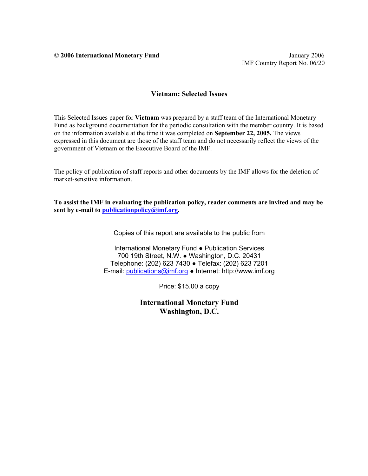© **2006 International Monetary Fund** January 2006

## **Vietnam: Selected Issues**

This Selected Issues paper for **Vietnam** was prepared by a staff team of the International Monetary Fund as background documentation for the periodic consultation with the member country. It is based on the information available at the time it was completed on **September 22, 2005.** The views expressed in this document are those of the staff team and do not necessarily reflect the views of the government of Vietnam or the Executive Board of the IMF.

The policy of publication of staff reports and other documents by the IMF allows for the deletion of market-sensitive information.

**To assist the IMF in evaluating the publication policy, reader comments are invited and may be sent by e-mail to publicationpolicy@imf.org.** 

Copies of this report are available to the public from

International Monetary Fund ● Publication Services 700 19th Street, N.W. ● Washington, D.C. 20431 Telephone: (202) 623 7430 ● Telefax: (202) 623 7201 E-mail: publications@imf.org ● Internet: http://www.imf.org

Price: \$15.00 a copy

**International Monetary Fund Washington, D.C.**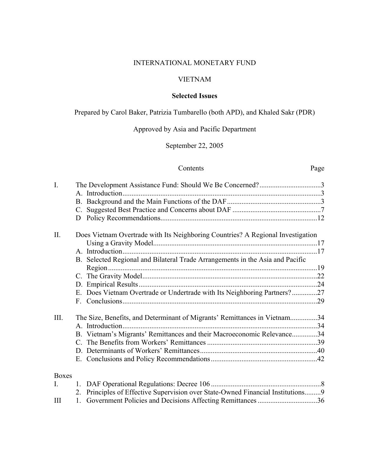## INTERNATIONAL MONETARY FUND

# VIETNAM

# **Selected Issues**

Prepared by Carol Baker, Patrizia Tumbarello (both APD), and Khaled Sakr (PDR)

# Approved by Asia and Pacific Department

# September 22, 2005

# Contents Page

| $\overline{I}$ . | The Development Assistance Fund: Should We Be Concerned?3                        |  |
|------------------|----------------------------------------------------------------------------------|--|
|                  |                                                                                  |  |
|                  |                                                                                  |  |
|                  |                                                                                  |  |
|                  | D                                                                                |  |
| II.              | Does Vietnam Overtrade with Its Neighboring Countries? A Regional Investigation  |  |
|                  |                                                                                  |  |
|                  |                                                                                  |  |
|                  | B. Selected Regional and Bilateral Trade Arrangements in the Asia and Pacific    |  |
|                  |                                                                                  |  |
|                  |                                                                                  |  |
|                  | E. Does Vietnam Overtrade or Undertrade with Its Neighboring Partners?27         |  |
|                  |                                                                                  |  |
| III.             | The Size, Benefits, and Determinant of Migrants' Remittances in Vietnam34        |  |
|                  |                                                                                  |  |
|                  | B. Vietnam's Migrants' Remittances and their Macroeconomic Relevance34           |  |
|                  |                                                                                  |  |
|                  |                                                                                  |  |
|                  |                                                                                  |  |
| <b>Boxes</b>     |                                                                                  |  |
| L.               |                                                                                  |  |
|                  | 2. Principles of Effective Supervision over State-Owned Financial Institutions 9 |  |
| III              |                                                                                  |  |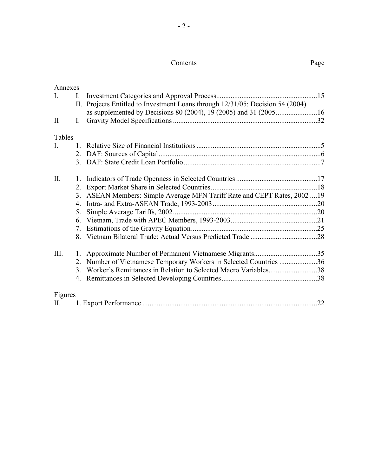#### Contents Page

| Annexes        |                |                                                                                |     |
|----------------|----------------|--------------------------------------------------------------------------------|-----|
| L.             | I.             |                                                                                |     |
|                |                | II. Projects Entitled to Investment Loans through 12/31/05: Decision 54 (2004) |     |
|                |                | as supplemented by Decisions 80 (2004), 19 (2005) and 31 (200516               |     |
| $\mathbf{I}$   | $\mathbf{I}$ . |                                                                                |     |
| Tables         |                |                                                                                |     |
| $\mathbf{I}$ . | $\mathbf{1}$   |                                                                                |     |
|                |                |                                                                                |     |
|                |                |                                                                                |     |
| II.            |                |                                                                                |     |
|                |                |                                                                                |     |
|                |                | 3. ASEAN Members: Simple Average MFN Tariff Rate and CEPT Rates, 200219        |     |
|                | 4.             |                                                                                |     |
|                | 5.             |                                                                                |     |
|                |                |                                                                                |     |
|                |                |                                                                                |     |
|                |                |                                                                                |     |
| III.           |                |                                                                                |     |
|                | 2.             | Number of Vietnamese Temporary Workers in Selected Countries 36                |     |
|                |                | 3. Worker's Remittances in Relation to Selected Macro Variables38              |     |
|                |                |                                                                                |     |
| Figures        |                |                                                                                |     |
|                |                |                                                                                | .22 |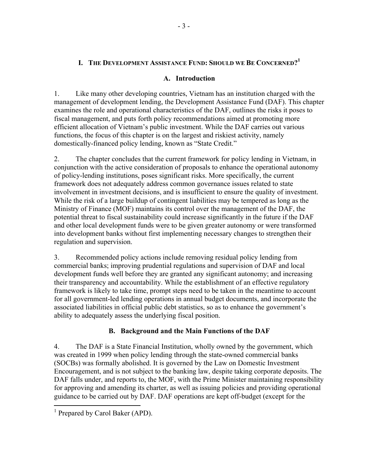# **I. THE DEVELOPMENT ASSISTANCE FUND: SHOULD WE BE CONCERNED?<sup>1</sup>**

## **A. Introduction**

1. Like many other developing countries, Vietnam has an institution charged with the management of development lending, the Development Assistance Fund (DAF). This chapter examines the role and operational characteristics of the DAF, outlines the risks it poses to fiscal management, and puts forth policy recommendations aimed at promoting more efficient allocation of Vietnam's public investment. While the DAF carries out various functions, the focus of this chapter is on the largest and riskiest activity, namely domestically-financed policy lending, known as "State Credit."

2. The chapter concludes that the current framework for policy lending in Vietnam, in conjunction with the active consideration of proposals to enhance the operational autonomy of policy-lending institutions, poses significant risks. More specifically, the current framework does not adequately address common governance issues related to state involvement in investment decisions, and is insufficient to ensure the quality of investment. While the risk of a large buildup of contingent liabilities may be tempered as long as the Ministry of Finance (MOF) maintains its control over the management of the DAF, the potential threat to fiscal sustainability could increase significantly in the future if the DAF and other local development funds were to be given greater autonomy or were transformed into development banks without first implementing necessary changes to strengthen their regulation and supervision.

3. Recommended policy actions include removing residual policy lending from commercial banks; improving prudential regulations and supervision of DAF and local development funds well before they are granted any significant autonomy; and increasing their transparency and accountability. While the establishment of an effective regulatory framework is likely to take time, prompt steps need to be taken in the meantime to account for all government-led lending operations in annual budget documents, and incorporate the associated liabilities in official public debt statistics, so as to enhance the government's ability to adequately assess the underlying fiscal position.

# **B. Background and the Main Functions of the DAF**

4. The DAF is a State Financial Institution, wholly owned by the government, which was created in 1999 when policy lending through the state-owned commercial banks (SOCBs) was formally abolished. It is governed by the Law on Domestic Investment Encouragement, and is not subject to the banking law, despite taking corporate deposits. The DAF falls under, and reports to, the MOF, with the Prime Minister maintaining responsibility for approving and amending its charter, as well as issuing policies and providing operational guidance to be carried out by DAF. DAF operations are kept off-budget (except for the

1

<sup>&</sup>lt;sup>1</sup> Prepared by Carol Baker (APD).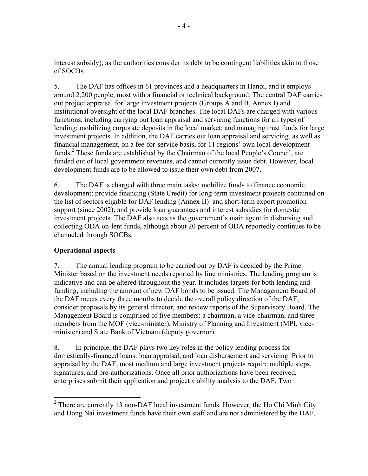interest subsidy), as the authorities consider its debt to be contingent liabilities akin to those of SOCBs.

5. The DAF has offices in 61 provinces and a headquarters in Hanoi, and it employs around 2,200 people, most with a financial or technical background. The central DAF carries out project appraisal for large investment projects (Groups A and B, Annex I) and institutional oversight of the local DAF branches. The local DAFs are charged with various functions, including carrying out loan appraisal and servicing functions for all types of lending; mobilizing corporate deposits in the local market; and managing trust funds for large investment projects. In addition, the DAF carries out loan appraisal and servicing, as well as financial management, on a fee-for-service basis, for 11 regions' own local development funds.<sup>2</sup> These funds are established by the Chairman of the local People's Council, are funded out of local government revenues, and cannot currently issue debt. However, local development funds are to be allowed to issue their own debt from 2007.

6. The DAF is charged with three main tasks: mobilize funds to finance economic development; provide financing (State Credit) for long-term investment projects contained on the list of sectors eligible for DAF lending (Annex II) and short-term export promotion support (since 2002); and provide loan guarantees and interest subsidies for domestic investment projects. The DAF also acts as the government's main agent in disbursing and collecting ODA on-lent funds, although about 20 percent of ODA reportedly continues to be channeled through SOCBs.

# **Operational aspects**

7. The annual lending program to be carried out by DAF is decided by the Prime Minister based on the investment needs reported by line ministries. The lending program is indicative and can be altered throughout the year. It includes targets for both lending and funding, including the amount of new DAF bonds to be issued. The Management Board of the DAF meets every three months to decide the overall policy direction of the DAF, consider proposals by its general director, and review reports of the Supervisory Board. The Management Board is comprised of five members: a chairman, a vice-chairman, and three members from the MOF (vice-minister), Ministry of Planning and Investment (MPI, viceminister) and State Bank of Vietnam (deputy governor).

8. In principle, the DAF plays two key roles in the policy lending process for domestically-financed loans: loan appraisal, and loan disbursement and servicing. Prior to appraisal by the DAF, most medium and large investment projects require multiple steps, signatures, and pre-authorizations. Once all prior authorizations have been received, enterprises submit their application and project viability analysis to the DAF. Two

<sup>&</sup>lt;sup>2</sup> There are currently 13 non-DAF local investment funds. However, the Ho Chi Minh City and Dong Nai investment funds have their own staff and are not administered by the DAF.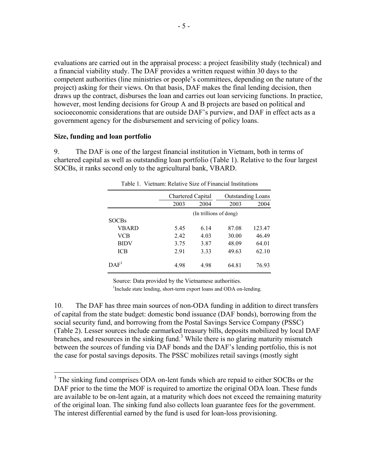evaluations are carried out in the appraisal process: a project feasibility study (technical) and a financial viability study. The DAF provides a written request within 30 days to the competent authorities (line ministries or people's committees, depending on the nature of the project) asking for their views. On that basis, DAF makes the final lending decision, then draws up the contract, disburses the loan and carries out loan servicing functions. In practice, however, most lending decisions for Group A and B projects are based on political and socioeconomic considerations that are outside DAF's purview, and DAF in effect acts as a government agency for the disbursement and servicing of policy loans.

### **Size, funding and loan portfolio**

 $\overline{a}$ 

9. The DAF is one of the largest financial institution in Vietnam, both in terms of chartered capital as well as outstanding loan portfolio (Table 1). Relative to the four largest SOCBs, it ranks second only to the agricultural bank, VBARD.

|                  | Chartered Capital |                        | <b>Outstanding Loans</b> |        |  |  |
|------------------|-------------------|------------------------|--------------------------|--------|--|--|
|                  | 2003              | 2004                   | 2003                     | 2004   |  |  |
|                  |                   | (In trillions of dong) |                          |        |  |  |
| <b>SOCBs</b>     |                   |                        |                          |        |  |  |
| VBARD            | 5.45              | 6.14                   | 87.08                    | 123.47 |  |  |
| VCB              | 2.42              | 4.03                   | 30.00                    | 46.49  |  |  |
| <b>BIDV</b>      | 3.75              | 3.87                   | 48.09                    | 64.01  |  |  |
| ICB              | 2.91              | 3.33                   | 49.63                    | 62.10  |  |  |
| DAF <sup>1</sup> | 4.98              | 4.98                   | 64.81                    | 76.93  |  |  |

Table 1. Vietnam: Relative Size of Financial Institutions

Source: Data provided by the Vietnamese authorities.

<sup>1</sup>Include state lending, short-term export loans and ODA on-lending.

10. The DAF has three main sources of non-ODA funding in addition to direct transfers of capital from the state budget: domestic bond issuance (DAF bonds), borrowing from the social security fund, and borrowing from the Postal Savings Service Company (PSSC) (Table 2). Lesser sources include earmarked treasury bills, deposits mobilized by local DAF branches, and resources in the sinking fund.<sup>3</sup> While there is no glaring maturity mismatch between the sources of funding via DAF bonds and the DAF's lending portfolio, this is not the case for postal savings deposits. The PSSC mobilizes retail savings (mostly sight

<sup>&</sup>lt;sup>3</sup> The sinking fund comprises ODA on-lent funds which are repaid to either SOCBs or the DAF prior to the time the MOF is required to amortize the original ODA loan. These funds are available to be on-lent again, at a maturity which does not exceed the remaining maturity of the original loan. The sinking fund also collects loan guarantee fees for the government. The interest differential earned by the fund is used for loan-loss provisioning.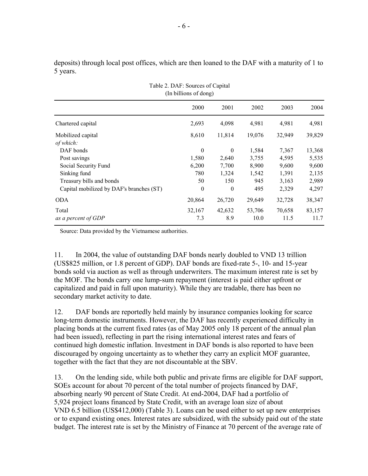deposits) through local post offices, which are then loaned to the DAF with a maturity of 1 to 5 years.

| (In billions of dong)                    |          |          |        |        |        |  |  |  |  |  |  |
|------------------------------------------|----------|----------|--------|--------|--------|--|--|--|--|--|--|
|                                          | 2000     | 2001     | 2002   | 2003   | 2004   |  |  |  |  |  |  |
| Chartered capital                        | 2,693    | 4,098    | 4,981  | 4,981  | 4,981  |  |  |  |  |  |  |
| Mobilized capital<br>of which:           | 8,610    | 11,814   | 19,076 | 32,949 | 39,829 |  |  |  |  |  |  |
| DAF bonds                                | $\theta$ | $\theta$ | 1,584  | 7,367  | 13,368 |  |  |  |  |  |  |
| Post savings                             | 1,580    | 2,640    | 3,755  | 4,595  | 5,535  |  |  |  |  |  |  |
| Social Security Fund                     | 6,200    | 7,700    | 8,900  | 9,600  | 9,600  |  |  |  |  |  |  |
| Sinking fund                             | 780      | 1,324    | 1,542  | 1,391  | 2,135  |  |  |  |  |  |  |
| Treasury bills and bonds                 | 50       | 150      | 945    | 3,163  | 2,989  |  |  |  |  |  |  |
| Capital mobilized by DAF's branches (ST) | $\theta$ | $\theta$ | 495    | 2,329  | 4,297  |  |  |  |  |  |  |
| <b>ODA</b>                               | 20,864   | 26,720   | 29,649 | 32,728 | 38,347 |  |  |  |  |  |  |
| Total                                    | 32,167   | 42,632   | 53,706 | 70,658 | 83,157 |  |  |  |  |  |  |
| as a percent of GDP                      | 7.3      | 8.9      | 10.0   | 11.5   | 11.7   |  |  |  |  |  |  |

Source: Data provided by the Vietnamese authorities.

11. In 2004, the value of outstanding DAF bonds nearly doubled to VND 13 trillion (US\$825 million, or 1.8 percent of GDP). DAF bonds are fixed-rate 5-, 10- and 15-year bonds sold via auction as well as through underwriters. The maximum interest rate is set by the MOF. The bonds carry one lump-sum repayment (interest is paid either upfront or capitalized and paid in full upon maturity). While they are tradable, there has been no secondary market activity to date.

12. DAF bonds are reportedly held mainly by insurance companies looking for scarce long-term domestic instruments. However, the DAF has recently experienced difficulty in placing bonds at the current fixed rates (as of May 2005 only 18 percent of the annual plan had been issued), reflecting in part the rising international interest rates and fears of continued high domestic inflation. Investment in DAF bonds is also reported to have been discouraged by ongoing uncertainty as to whether they carry an explicit MOF guarantee, together with the fact that they are not discountable at the SBV.

13. On the lending side, while both public and private firms are eligible for DAF support, SOEs account for about 70 percent of the total number of projects financed by DAF, absorbing nearly 90 percent of State Credit. At end-2004, DAF had a portfolio of 5,924 project loans financed by State Credit, with an average loan size of about VND 6.5 billion (US\$412,000) (Table 3). Loans can be used either to set up new enterprises or to expand existing ones. Interest rates are subsidized, with the subsidy paid out of the state budget. The interest rate is set by the Ministry of Finance at 70 percent of the average rate of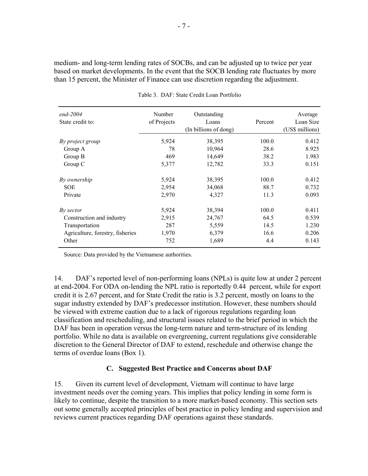medium- and long-term lending rates of SOCBs, and can be adjusted up to twice per year based on market developments. In the event that the SOCB lending rate fluctuates by more than 15 percent, the Minister of Finance can use discretion regarding the adjustment.

| $end-2004$<br>State credit to:   | Number<br>of Projects | Outstanding<br>Loans<br>(In billions of dong) | Percent | Average<br>Loan Size<br>(US\$ millions) |
|----------------------------------|-----------------------|-----------------------------------------------|---------|-----------------------------------------|
| By project group                 | 5,924                 | 38,395                                        | 100.0   | 0.412                                   |
| Group A                          | 78                    | 10,964                                        | 28.6    | 8.925                                   |
| Group B                          | 469                   | 14,649                                        | 38.2    | 1.983                                   |
| Group C                          | 5,377                 | 12,782                                        | 33.3    | 0.151                                   |
| By ownership                     | 5,924                 | 38,395                                        | 100.0   | 0.412                                   |
| <b>SOE</b>                       | 2,954                 | 34,068                                        | 88.7    | 0.732                                   |
| Private                          | 2,970                 | 4,327                                         | 11.3    | 0.093                                   |
| By sector                        | 5,924                 | 38,394                                        | 100.0   | 0.411                                   |
| Construction and industry        | 2,915                 | 24,767                                        | 64.5    | 0.539                                   |
| Transportation                   | 287                   | 5,559                                         | 14.5    | 1.230                                   |
| Agriculture, forestry, fisheries | 1,970                 | 6,379                                         | 16.6    | 0.206                                   |
| Other                            | 752                   | 1,689                                         | 4.4     | 0.143                                   |

Table 3. DAF: State Credit Loan Portfolio

Source: Data provided by the Vietnamese authorities.

14. DAF's reported level of non-performing loans (NPLs) is quite low at under 2 percent at end-2004. For ODA on-lending the NPL ratio is reportedly 0.44 percent, while for export credit it is 2.67 percent, and for State Credit the ratio is 3.2 percent, mostly on loans to the sugar industry extended by DAF's predecessor institution. However, these numbers should be viewed with extreme caution due to a lack of rigorous regulations regarding loan classification and rescheduling, and structural issues related to the brief period in which the DAF has been in operation versus the long-term nature and term-structure of its lending portfolio. While no data is available on evergreening, current regulations give considerable discretion to the General Director of DAF to extend, reschedule and otherwise change the terms of overdue loans (Box 1).

# **C. Suggested Best Practice and Concerns about DAF**

15. Given its current level of development, Vietnam will continue to have large investment needs over the coming years. This implies that policy lending in some form is likely to continue, despite the transition to a more market-based economy. This section sets out some generally accepted principles of best practice in policy lending and supervision and reviews current practices regarding DAF operations against these standards.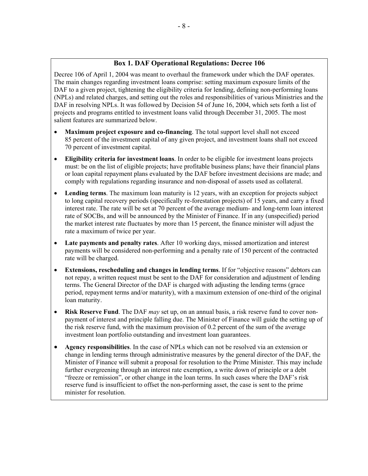## **Box 1. DAF Operational Regulations: Decree 106**

Decree 106 of April 1, 2004 was meant to overhaul the framework under which the DAF operates. The main changes regarding investment loans comprise: setting maximum exposure limits of the DAF to a given project, tightening the eligibility criteria for lending, defining non-performing loans (NPLs) and related charges, and setting out the roles and responsibilities of various Ministries and the DAF in resolving NPLs. It was followed by Decision 54 of June 16, 2004, which sets forth a list of projects and programs entitled to investment loans valid through December 31, 2005. The most salient features are summarized below.

- **Maximum project exposure and co-financing**. The total support level shall not exceed 85 percent of the investment capital of any given project, and investment loans shall not exceed 70 percent of investment capital.
- **Eligibility criteria for investment loans**. In order to be eligible for investment loans projects must: be on the list of eligible projects; have profitable business plans; have their financial plans or loan capital repayment plans evaluated by the DAF before investment decisions are made; and comply with regulations regarding insurance and non-disposal of assets used as collateral.
- Lending terms. The maximum loan maturity is 12 years, with an exception for projects subject to long capital recovery periods (specifically re-forestation projects) of 15 years, and carry a fixed interest rate. The rate will be set at 70 percent of the average medium- and long-term loan interest rate of SOCBs, and will be announced by the Minister of Finance. If in any (unspecified) period the market interest rate fluctuates by more than 15 percent, the finance minister will adjust the rate a maximum of twice per year.
- **Late payments and penalty rates**. After 10 working days, missed amortization and interest payments will be considered non-performing and a penalty rate of 150 percent of the contracted rate will be charged.
- **Extensions, rescheduling and changes in lending terms**. If for "objective reasons" debtors can not repay, a written request must be sent to the DAF for consideration and adjustment of lending terms. The General Director of the DAF is charged with adjusting the lending terms (grace period, repayment terms and/or maturity), with a maximum extension of one-third of the original loan maturity.
- **Risk Reserve Fund**. The DAF *may* set up, on an annual basis, a risk reserve fund to cover nonpayment of interest and principle falling due. The Minister of Finance will guide the setting up of the risk reserve fund, with the maximum provision of 0.2 percent of the sum of the average investment loan portfolio outstanding and investment loan guarantees.
- **Agency responsibilities**. In the case of NPLs which can not be resolved via an extension or change in lending terms through administrative measures by the general director of the DAF, the Minister of Finance will submit a proposal for resolution to the Prime Minister. This may include further evergreening through an interest rate exemption, a write down of principle or a debt "freeze or remission", or other change in the loan terms. In such cases where the DAF's risk reserve fund is insufficient to offset the non-performing asset, the case is sent to the prime minister for resolution.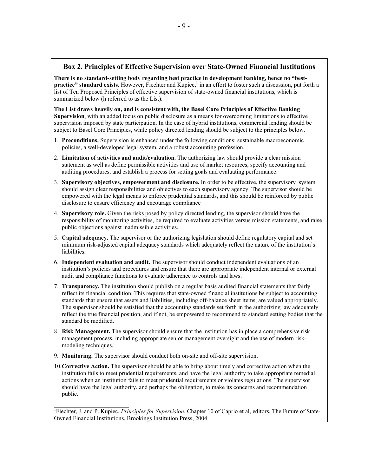## **Box 2. Principles of Effective Supervision over State-Owned Financial Institutions**

**There is no standard-setting body regarding best practice in development banking, hence no "bestpractice" standard exists.** However, Fiechter and Kupiec,<sup>1</sup> in an effort to foster such a discussion, put forth a list of Ten Proposed Principles of effective supervision of state-owned financial institutions, which is summarized below (h referred to as the List).

**The List draws heavily on, and is consistent with, the Basel Core Principles of Effective Banking Supervision**, with an added focus on public disclosure as a means for overcoming limitations to effective supervision imposed by state participation. In the case of hybrid institutions, commercial lending should be subject to Basel Core Principles, while policy directed lending should be subject to the principles below.

- 1. **Preconditions.** Supervision is enhanced under the following conditions: sustainable macroeconomic policies, a well-developed legal system, and a robust accounting profession.
- 2. **Limitation of activities and audit/evaluation.** The authorizing law should provide a clear mission statement as well as define permissible activities and use of market resources, specify accounting and auditing procedures, and establish a process for setting goals and evaluating performance.
- 3. **Supervisory objectives, empowerment and disclosure.** In order to be effective, the supervisory system should assign clear responsibilities and objectives to each supervisory agency. The supervisor should be empowered with the legal means to enforce prudential standards, and this should be reinforced by public disclosure to ensure efficiency and encourage compliance
- 4. **Supervisory role.** Given the risks posed by policy directed lending, the supervisor should have the responsibility of monitoring activities, be required to evaluate activities versus mission statements, and raise public objections against inadmissible activities.
- 5. **Capital adequacy.** The supervisor or the authorizing legislation should define regulatory capital and set minimum risk-adjusted capital adequacy standards which adequately reflect the nature of the institution's liabilities.
- 6. **Independent evaluation and audit.** The supervisor should conduct independent evaluations of an institution's policies and procedures and ensure that there are appropriate independent internal or external audit and compliance functions to evaluate adherence to controls and laws.
- 7. **Transparency.** The institution should publish on a regular basis audited financial statements that fairly reflect its financial condition. This requires that state-owned financial institutions be subject to accounting standards that ensure that assets and liabilities, including off-balance sheet items, are valued appropriately. The supervisor should be satisfied that the accounting standards set forth in the authorizing law adequately reflect the true financial position, and if not, be empowered to recommend to standard setting bodies that the standard be modified.
- 8. **Risk Management.** The supervisor should ensure that the institution has in place a comprehensive risk management process, including appropriate senior management oversight and the use of modern riskmodeling techniques.
- 9. **Monitoring.** The supervisor should conduct both on-site and off-site supervision.
- 10.**Corrective Action.** The supervisor should be able to bring about timely and corrective action when the institution fails to meet prudential requirements, and have the legal authority to take appropriate remedial actions when an institution fails to meet prudential requirements or violates regulations. The supervisor should have the legal authority, and perhaps the obligation, to make its concerns and recommendation public.

<sup>1</sup>Fiechter, J. and P. Kupiec, *Principles for Supervision*, Chapter 10 of Caprio et al, editors, The Future of State-Owned Financial Institutions, Brookings Institution Press, 2004.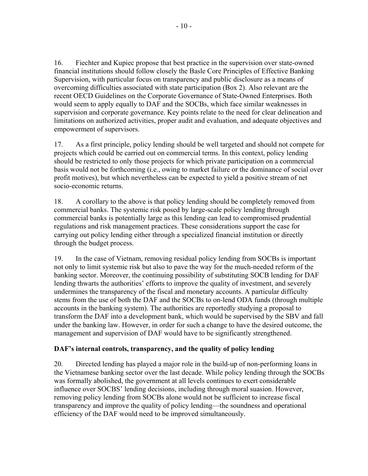16. Fiechter and Kupiec propose that best practice in the supervision over state-owned financial institutions should follow closely the Basle Core Principles of Effective Banking Supervision, with particular focus on transparency and public disclosure as a means of overcoming difficulties associated with state participation (Box 2). Also relevant are the recent OECD Guidelines on the Corporate Governance of State-Owned Enterprises. Both would seem to apply equally to DAF and the SOCBs, which face similar weaknesses in supervision and corporate governance. Key points relate to the need for clear delineation and limitations on authorized activities, proper audit and evaluation, and adequate objectives and empowerment of supervisors.

17. As a first principle, policy lending should be well targeted and should not compete for projects which could be carried out on commercial terms. In this context, policy lending should be restricted to only those projects for which private participation on a commercial basis would not be forthcoming (i.e., owing to market failure or the dominance of social over profit motives), but which nevertheless can be expected to yield a positive stream of net socio-economic returns.

18. A corollary to the above is that policy lending should be completely removed from commercial banks. The systemic risk posed by large-scale policy lending through commercial banks is potentially large as this lending can lead to compromised prudential regulations and risk management practices. These considerations support the case for carrying out policy lending either through a specialized financial institution or directly through the budget process.

19. In the case of Vietnam, removing residual policy lending from SOCBs is important not only to limit systemic risk but also to pave the way for the much-needed reform of the banking sector. Moreover, the continuing possibility of substituting SOCB lending for DAF lending thwarts the authorities' efforts to improve the quality of investment, and severely undermines the transparency of the fiscal and monetary accounts. A particular difficulty stems from the use of both the DAF and the SOCBs to on-lend ODA funds (through multiple accounts in the banking system). The authorities are reportedly studying a proposal to transform the DAF into a development bank, which would be supervised by the SBV and fall under the banking law. However, in order for such a change to have the desired outcome, the management and supervision of DAF would have to be significantly strengthened.

# **DAF's internal controls, transparency, and the quality of policy lending**

20. Directed lending has played a major role in the build-up of non-performing loans in the Vietnamese banking sector over the last decade. While policy lending through the SOCBs was formally abolished, the government at all levels continues to exert considerable influence over SOCBS' lending decisions, including through moral suasion. However, removing policy lending from SOCBs alone would not be sufficient to increase fiscal transparency and improve the quality of policy lending—the soundness and operational efficiency of the DAF would need to be improved simultaneously.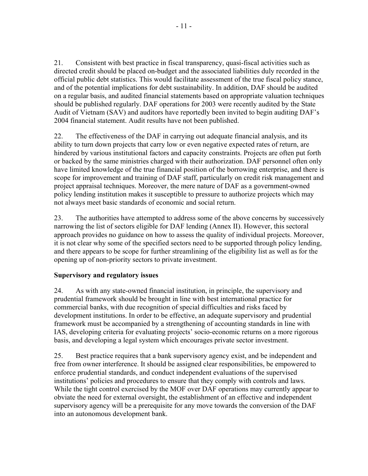21. Consistent with best practice in fiscal transparency, quasi-fiscal activities such as directed credit should be placed on-budget and the associated liabilities duly recorded in the official public debt statistics. This would facilitate assessment of the true fiscal policy stance, and of the potential implications for debt sustainability. In addition, DAF should be audited on a regular basis, and audited financial statements based on appropriate valuation techniques should be published regularly. DAF operations for 2003 were recently audited by the State Audit of Vietnam (SAV) and auditors have reportedly been invited to begin auditing DAF's 2004 financial statement. Audit results have not been published.

22. The effectiveness of the DAF in carrying out adequate financial analysis, and its ability to turn down projects that carry low or even negative expected rates of return, are hindered by various institutional factors and capacity constraints. Projects are often put forth or backed by the same ministries charged with their authorization. DAF personnel often only have limited knowledge of the true financial position of the borrowing enterprise, and there is scope for improvement and training of DAF staff, particularly on credit risk management and project appraisal techniques. Moreover, the mere nature of DAF as a government-owned policy lending institution makes it susceptible to pressure to authorize projects which may not always meet basic standards of economic and social return.

23. The authorities have attempted to address some of the above concerns by successively narrowing the list of sectors eligible for DAF lending (Annex II). However, this sectoral approach provides no guidance on how to assess the quality of individual projects. Moreover, it is not clear why some of the specified sectors need to be supported through policy lending, and there appears to be scope for further streamlining of the eligibility list as well as for the opening up of non-priority sectors to private investment.

# **Supervisory and regulatory issues**

24. As with any state-owned financial institution, in principle, the supervisory and prudential framework should be brought in line with best international practice for commercial banks, with due recognition of special difficulties and risks faced by development institutions. In order to be effective, an adequate supervisory and prudential framework must be accompanied by a strengthening of accounting standards in line with IAS, developing criteria for evaluating projects' socio-economic returns on a more rigorous basis, and developing a legal system which encourages private sector investment.

25. Best practice requires that a bank supervisory agency exist, and be independent and free from owner interference. It should be assigned clear responsibilities, be empowered to enforce prudential standards, and conduct independent evaluations of the supervised institutions' policies and procedures to ensure that they comply with controls and laws. While the tight control exercised by the MOF over DAF operations may currently appear to obviate the need for external oversight, the establishment of an effective and independent supervisory agency will be a prerequisite for any move towards the conversion of the DAF into an autonomous development bank.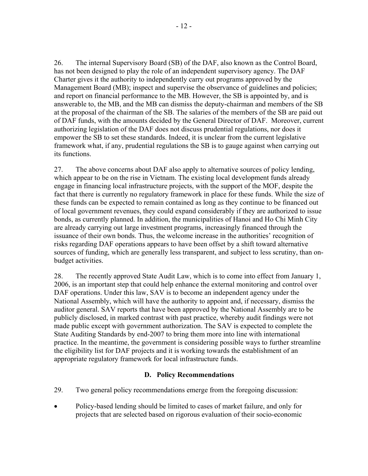26. The internal Supervisory Board (SB) of the DAF, also known as the Control Board, has not been designed to play the role of an independent supervisory agency. The DAF Charter gives it the authority to independently carry out programs approved by the Management Board (MB); inspect and supervise the observance of guidelines and policies; and report on financial performance to the MB. However, the SB is appointed by, and is answerable to, the MB, and the MB can dismiss the deputy-chairman and members of the SB at the proposal of the chairman of the SB. The salaries of the members of the SB are paid out of DAF funds, with the amounts decided by the General Director of DAF. Moreover, current authorizing legislation of the DAF does not discuss prudential regulations, nor does it empower the SB to set these standards. Indeed, it is unclear from the current legislative framework what, if any, prudential regulations the SB is to gauge against when carrying out its functions.

27. The above concerns about DAF also apply to alternative sources of policy lending, which appear to be on the rise in Vietnam. The existing local development funds already engage in financing local infrastructure projects, with the support of the MOF, despite the fact that there is currently no regulatory framework in place for these funds. While the size of these funds can be expected to remain contained as long as they continue to be financed out of local government revenues, they could expand considerably if they are authorized to issue bonds, as currently planned. In addition, the municipalities of Hanoi and Ho Chi Minh City are already carrying out large investment programs, increasingly financed through the issuance of their own bonds. Thus, the welcome increase in the authorities' recognition of risks regarding DAF operations appears to have been offset by a shift toward alternative sources of funding, which are generally less transparent, and subject to less scrutiny, than onbudget activities.

28. The recently approved State Audit Law, which is to come into effect from January 1, 2006, is an important step that could help enhance the external monitoring and control over DAF operations. Under this law, SAV is to become an independent agency under the National Assembly, which will have the authority to appoint and, if necessary, dismiss the auditor general. SAV reports that have been approved by the National Assembly are to be publicly disclosed, in marked contrast with past practice, whereby audit findings were not made public except with government authorization. The SAV is expected to complete the State Auditing Standards by end-2007 to bring them more into line with international practice. In the meantime, the government is considering possible ways to further streamline the eligibility list for DAF projects and it is working towards the establishment of an appropriate regulatory framework for local infrastructure funds.

# **D. Policy Recommendations**

- 29. Two general policy recommendations emerge from the foregoing discussion:
- Policy-based lending should be limited to cases of market failure, and only for projects that are selected based on rigorous evaluation of their socio-economic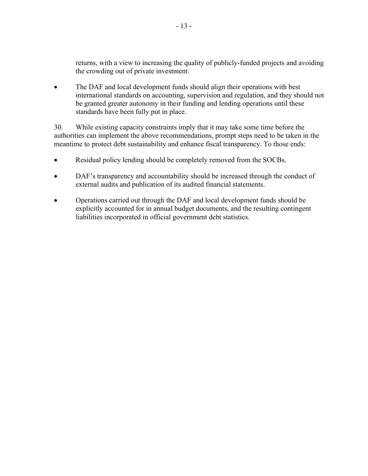returns, with a view to increasing the quality of publicly-funded projects and avoiding the crowding out of private investment.

• The DAF and local development funds should align their operations with best international standards on accounting, supervision and regulation, and they should not be granted greater autonomy in their funding and lending operations until these standards have been fully put in place.

30. While existing capacity constraints imply that it may take some time before the authorities can implement the above recommendations, prompt steps need to be taken in the meantime to protect debt sustainability and enhance fiscal transparency. To those ends:

- Residual policy lending should be completely removed from the SOCBs.
- DAF's transparency and accountability should be increased through the conduct of external audits and publication of its audited financial statements.
- Operations carried out through the DAF and local development funds should be explicitly accounted for in annual budget documents, and the resulting contingent liabilities incorporated in official government debt statistics.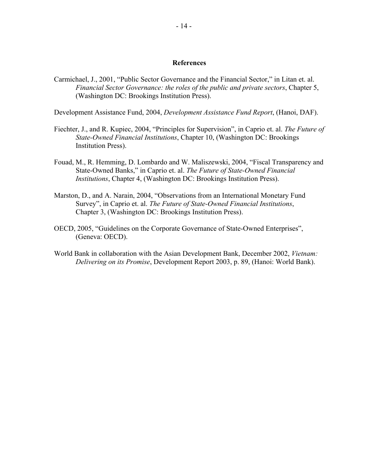#### **References**

Carmichael, J., 2001, "Public Sector Governance and the Financial Sector," in Litan et. al. *Financial Sector Governance: the roles of the public and private sectors*, Chapter 5, (Washington DC: Brookings Institution Press).

Development Assistance Fund, 2004, *Development Assistance Fund Report*, (Hanoi, DAF).

- Fiechter, J., and R. Kupiec, 2004, "Principles for Supervision", in Caprio et. al. *The Future of State-Owned Financial Institutions*, Chapter 10, (Washington DC: Brookings Institution Press).
- Fouad, M., R. Hemming, D. Lombardo and W. Maliszewski, 2004, "Fiscal Transparency and State-Owned Banks," in Caprio et. al. *The Future of State-Owned Financial Institutions*, Chapter 4, (Washington DC: Brookings Institution Press).
- Marston, D., and A. Narain, 2004, "Observations from an International Monetary Fund Survey", in Caprio et. al. *The Future of State-Owned Financial Institutions*, Chapter 3, (Washington DC: Brookings Institution Press).
- OECD, 2005, "Guidelines on the Corporate Governance of State-Owned Enterprises", (Geneva: OECD).
- World Bank in collaboration with the Asian Development Bank, December 2002, *Vietnam: Delivering on its Promise*, Development Report 2003, p. 89, (Hanoi: World Bank).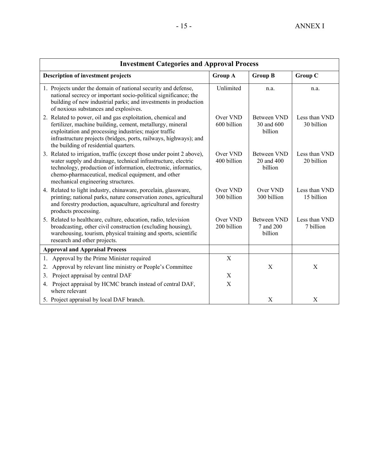| <b>Investment Categories and Approval Process</b>                                                                                                                                                                                                                                                     |                         |                                             |                             |  |  |  |  |  |  |  |
|-------------------------------------------------------------------------------------------------------------------------------------------------------------------------------------------------------------------------------------------------------------------------------------------------------|-------------------------|---------------------------------------------|-----------------------------|--|--|--|--|--|--|--|
| <b>Description of investment projects</b>                                                                                                                                                                                                                                                             | <b>Group A</b>          | <b>Group B</b>                              | <b>Group C</b>              |  |  |  |  |  |  |  |
| 1. Projects under the domain of national security and defense,<br>national secrecy or important socio-political significance; the<br>building of new industrial parks; and investments in production<br>of noxious substances and explosives.                                                         | Unlimited               | n.a.                                        | n.a.                        |  |  |  |  |  |  |  |
| 2. Related to power, oil and gas exploitation, chemical and<br>fertilizer, machine building, cement, metallurgy, mineral<br>exploitation and processing industries; major traffic<br>infrastructure projects (bridges, ports, railways, highways); and<br>the building of residential quarters.       | Over VND<br>600 billion | <b>Between VND</b><br>30 and 600<br>billion | Less than VND<br>30 billion |  |  |  |  |  |  |  |
| 3. Related to irrigation, traffic (except those under point 2 above),<br>water supply and drainage, technical infrastructure, electric<br>technology, production of information, electronic, informatics,<br>chemo-pharmaceutical, medical equipment, and other<br>mechanical engineering structures. | Over VND<br>400 billion | <b>Between VND</b><br>20 and 400<br>billion | Less than VND<br>20 billion |  |  |  |  |  |  |  |
| 4. Related to light industry, chinaware, porcelain, glassware,<br>printing; national parks, nature conservation zones, agricultural<br>and forestry production, aquaculture, agricultural and forestry<br>products processing.                                                                        | Over VND<br>300 billion | Over VND<br>300 billion                     | Less than VND<br>15 billion |  |  |  |  |  |  |  |
| 5. Related to healthcare, culture, education, radio, television<br>broadcasting, other civil construction (excluding housing),<br>warehousing, tourism, physical training and sports, scientific<br>research and other projects.                                                                      | Over VND<br>200 billion | <b>Between VND</b><br>7 and 200<br>billion  | Less than VND<br>7 billion  |  |  |  |  |  |  |  |
| <b>Approval and Appraisal Process</b>                                                                                                                                                                                                                                                                 |                         |                                             |                             |  |  |  |  |  |  |  |
| Approval by the Prime Minister required<br>1.                                                                                                                                                                                                                                                         | X                       |                                             |                             |  |  |  |  |  |  |  |
| Approval by relevant line ministry or People's Committee<br>2.                                                                                                                                                                                                                                        |                         | $\mathbf X$                                 | X                           |  |  |  |  |  |  |  |
| Project appraisal by central DAF<br>3.                                                                                                                                                                                                                                                                | X                       |                                             |                             |  |  |  |  |  |  |  |
| 4. Project appraisal by HCMC branch instead of central DAF,<br>where relevant                                                                                                                                                                                                                         | X                       |                                             |                             |  |  |  |  |  |  |  |
| 5. Project appraisal by local DAF branch.                                                                                                                                                                                                                                                             |                         | $\mathbf X$                                 | X                           |  |  |  |  |  |  |  |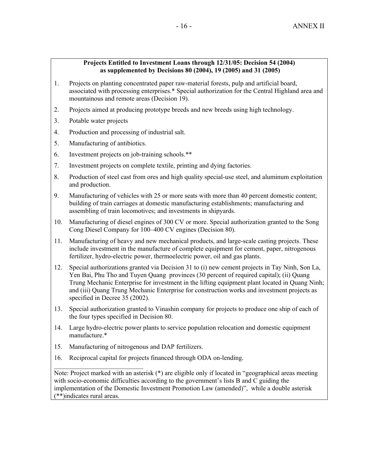#### **Projects Entitled to Investment Loans through 12/31/05: Decision 54 (2004) as supplemented by Decisions 80 (2004), 19 (2005) and 31 (2005)**

- 1. Projects on planting concentrated paper raw-material forests, pulp and artificial board, associated with processing enterprises.\* Special authorization for the Central Highland area and mountainous and remote areas (Decision 19).
- 2. Projects aimed at producing prototype breeds and new breeds using high technology.
- 3. Potable water projects
- 4. Production and processing of industrial salt.
- 5. Manufacturing of antibiotics.
- 6. Investment projects on job-training schools.\*\*
- 7. Investment projects on complete textile, printing and dying factories.
- 8. Production of steel cast from ores and high quality special-use steel, and aluminum exploitation and production.
- 9. Manufacturing of vehicles with 25 or more seats with more than 40 percent domestic content; building of train carriages at domestic manufacturing establishments; manufacturing and assembling of train locomotives; and investments in shipyards.
- 10. Manufacturing of diesel engines of 300 CV or more. Special authorization granted to the Song Cong Diesel Company for 100–400 CV engines (Decision 80).
- 11. Manufacturing of heavy and new mechanical products, and large-scale casting projects. These include investment in the manufacture of complete equipment for cement, paper, nitrogenous fertilizer, hydro-electric power, thermoelectric power, oil and gas plants.
- 12. Special authorizations granted via Decision 31 to (i) new cement projects in Tay Ninh, Son La, Yen Bai, Phu Tho and Tuyen Quang provinces (30 percent of required capital); (ii) Quang Trung Mechanic Enterprise for investment in the lifting equipment plant located in Quang Ninh; and (iii) Quang Trung Mechanic Enterprise for construction works and investment projects as specified in Decree 35 (2002).
- 13. Special authorization granted to Vinashin company for projects to produce one ship of each of the four types specified in Decision 80.
- 14. Large hydro-electric power plants to service population relocation and domestic equipment manufacture.\*
- 15. Manufacturing of nitrogenous and DAP fertilizers.

 $\mathcal{L}_\text{max}$ 

16. Reciprocal capital for projects financed through ODA on-lending.

Note: Project marked with an asterisk (\*) are eligible only if located in "geographical areas meeting with socio-economic difficulties according to the government's lists B and C guiding the implementation of the Domestic Investment Promotion Law (amended)", while a double asterisk (\*\*)indicates rural areas.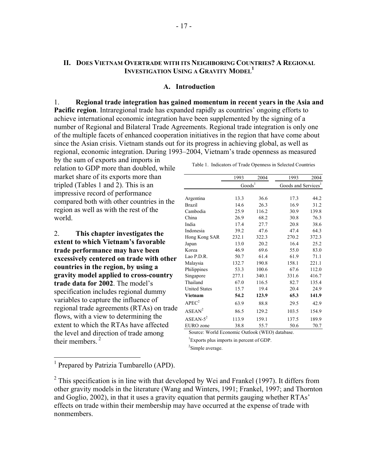# **II. DOES VIETNAM OVERTRADE WITH ITS NEIGHBORING COUNTRIES? A REGIONAL INVESTIGATION USING A GRAVITY MODEL<sup>1</sup>**

#### **A. Introduction**

1. **Regional trade integration has gained momentum in recent years in the Asia and Pacific region**. Intraregional trade has expanded rapidly as countries' ongoing efforts to achieve international economic integration have been supplemented by the signing of a number of Regional and Bilateral Trade Agreements. Regional trade integration is only one of the multiple facets of enhanced cooperation initiatives in the region that have come about since the Asian crisis. Vietnam stands out for its progress in achieving global, as well as regional, economic integration. During 1993–2004, Vietnam's trade openness as measured

by the sum of exports and imports in relation to GDP more than doubled, while market share of its exports more than tripled (Tables 1 and 2). This is an impressive record of performance compared both with other countries in the region as well as with the rest of the world.

2. **This chapter investigates the extent to which Vietnam's favorable trade performance may have been excessively centered on trade with other countries in the region, by using a gravity model applied to cross-country trade data for 2002**. The model's specification includes regional dummy variables to capture the influence of regional trade agreements (RTAs) on trade flows, with a view to determining the extent to which the RTAs have affected the level and direction of trade among their members. $<sup>2</sup>$ </sup>

|                      | 1993               | 2004  | 1993                            | 2004  |
|----------------------|--------------------|-------|---------------------------------|-------|
|                      | Goods <sup>1</sup> |       | Goods and Services <sup>1</sup> |       |
|                      |                    |       |                                 |       |
| Argentina            | 13.3               | 36.6  | 17.3                            | 44.2  |
| <b>Brazil</b>        | 14.6               | 26.3  | 16.9                            | 31.2  |
| Cambodia             | 25.9               | 116.2 | 30.9                            | 139.8 |
| China                | 26.9               | 68.2  | 30.8                            | 76.3  |
| India                | 17.4               | 27.7  | 20.8                            | 38.6  |
| Indonesia            | 39.2               | 47.6  | 47.4                            | 64.3  |
| Hong Kong SAR        | 232.1              | 322.3 | 270.2                           | 372.3 |
| Japan                | 13.0               | 20.2  | 16.4                            | 25.2  |
| Korea                | 46.9               | 69.6  | 55.0                            | 83.0  |
| Lao P.D.R.           | 50.7               | 61.4  | 61.9                            | 71.1  |
| Malaysia             | 132.7              | 190.8 | 158.1                           | 221.1 |
| Philippines          | 53.3               | 100.6 | 67.6                            | 112.0 |
| Singapore            | 277.1              | 340.1 | 331.6                           | 416.7 |
| Thailand             | 67.0               | 116.5 | 82.7                            | 135.4 |
| <b>United States</b> | 15.7               | 19.4  | 20.4                            | 24.9  |
| Vietnam              | 54.2               | 123.9 | 65.3                            | 141.9 |
| APEC <sup>2</sup>    | 63.9               | 88.8  | 29.5                            | 42.9  |
| $ASEAN^2$            | 86.5               | 129.2 | 103.5                           | 154.9 |
| $ASEAN-5^2$          | 113.9              | 159.1 | 137.5                           | 189.9 |
| EURO zone            | 38.8               | 55.7  | 50.6                            | 70.7  |

Table 1. Indicators of Trade Openness in Selected Countries

Source: World Economic Outlook (WEO) database.

<sup>1</sup>Exports plus imports in percent of GDP.

<sup>2</sup>Simple average.

<sup>1</sup> Prepared by Patrizia Tumbarello (APD).

<sup>&</sup>lt;sup>2</sup> This specification is in line with that developed by Wei and Frankel (1997). It differs from other gravity models in the literature (Wang and Winters, 1991; Frankel, 1997; and Thornton and Goglio, 2002), in that it uses a gravity equation that permits gauging whether RTAs' effects on trade within their membership may have occurred at the expense of trade with nonmembers.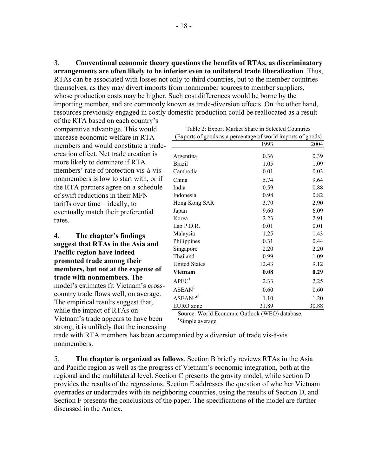3. **Conventional economic theory questions the benefits of RTAs, as discriminatory arrangements are often likely to be inferior even to unilateral trade liberalization**. Thus, RTAs can be associated with losses not only to third countries, but to the member countries themselves, as they may divert imports from nonmember sources to member suppliers, whose production costs may be higher. Such cost differences would be borne by the importing member, and are commonly known as trade-diversion effects. On the other hand, resources previously engaged in costly domestic production could be reallocated as a result

of the RTA based on each country's comparative advantage. This would increase economic welfare in RTA members and would constitute a tradecreation effect. Net trade creation is more likely to dominate if RTA members' rate of protection vis-à-vis nonmembers is low to start with, or if the RTA partners agree on a schedule of swift reductions in their MFN tariffs over time—ideally, to eventually match their preferential rates.

4. **The chapter's findings suggest that RTAs in the Asia and Pacific region have indeed promoted trade among their members, but not at the expense of trade with nonmembers**. The model's estimates fit Vietnam's crosscountry trade flows well, on average. The empirical results suggest that, while the impact of RTAs on Vietnam's trade appears to have been strong, it is unlikely that the increasing

1993 2004 Argentina 0.36 0.39 Brazil 1.05 1.09 Cambodia 0.01 0.03 China 5.74 9.64 India 0.59 0.88 Indonesia 0.98 0.82 Hong Kong SAR 3.70 2.90 Japan 9.60 6.09 Korea 2.23 2.91 Lao P.D.R. 0.01 0.01 0.01 Malaysia 1.25 1.43 Philippines 0.31 0.44 Singapore 2.20 2.20 Thailand 0.99 1.09 United States 12.43 9.12 **Vietnam 0.08 0.29**  $APEC<sup>1</sup>$  2.33 2.25  $ASEAN<sup>1</sup>$  0.60 0.60  $ASEAN-5<sup>1</sup>$  1.10 1.20 EURO zone 31.89 30.88 (Exports of goods as a percentage of world imports of goods)

Source: World Economic Outlook (WEO) database. <sup>1</sup>Simple average.

trade with RTA members has been accompanied by a diversion of trade vis-à-vis nonmembers.

5. **The chapter is organized as follows**. Section B briefly reviews RTAs in the Asia and Pacific region as well as the progress of Vietnam's economic integration, both at the regional and the multilateral level. Section C presents the gravity model, while section D provides the results of the regressions. Section E addresses the question of whether Vietnam overtrades or undertrades with its neighboring countries, using the results of Section D, and Section F presents the conclusions of the paper. The specifications of the model are further discussed in the Annex.

| Table 2: Export Market Share in Selected Countries        |  |
|-----------------------------------------------------------|--|
| rnorte of goods as a persentage of world imports of goods |  |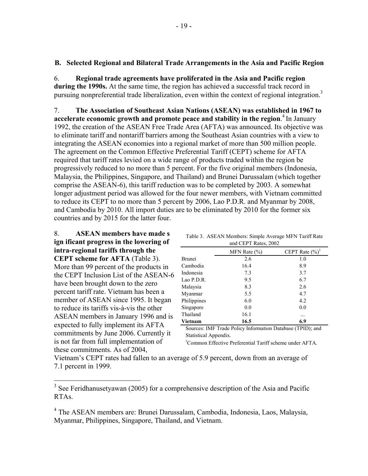## **B. Selected Regional and Bilateral Trade Arrangements in the Asia and Pacific Region**

6. **Regional trade agreements have proliferated in the Asia and Pacific region during the 1990s.** At the same time, the region has achieved a successful track record in pursuing nonpreferential trade liberalization, even within the context of regional integration.<sup>3</sup>

7. **The Association of Southeast Asian Nations (ASEAN) was established in 1967 to accelerate economic growth and promote peace and stability in the region**. 4 In January 1992, the creation of the ASEAN Free Trade Area (AFTA) was announced. Its objective was to eliminate tariff and nontariff barriers among the Southeast Asian countries with a view to integrating the ASEAN economies into a regional market of more than 500 million people. The agreement on the Common Effective Preferential Tariff (CEPT) scheme for AFTA required that tariff rates levied on a wide range of products traded within the region be progressively reduced to no more than 5 percent. For the five original members (Indonesia, Malaysia, the Philippines, Singapore, and Thailand) and Brunei Darussalam (which together comprise the ASEAN-6), this tariff reduction was to be completed by 2003. A somewhat longer adjustment period was allowed for the four newer members, with Vietnam committed to reduce its CEPT to no more than 5 percent by 2006, Lao P.D.R. and Myanmar by 2008, and Cambodia by 2010. All import duties are to be eliminated by 2010 for the former six countries and by 2015 for the latter four.

8. **ASEAN members have made s ign ificant progress in the lowering of intra-regional tariffs through the** 

**CEPT scheme for AFTA** (Table 3). More than 99 percent of the products in the CEPT Inclusion List of the ASEAN-6 have been brought down to the zero percent tariff rate. Vietnam has been a member of ASEAN since 1995. It began to reduce its tariffs vis-à-vis the other ASEAN members in January 1996 and is expected to fully implement its AFTA commitments by June 2006. Currently it is not far from full implementation of these commitments. As of 2004,

| and CEPT Rates, 2002 |                  |                    |  |  |  |  |  |  |  |  |
|----------------------|------------------|--------------------|--|--|--|--|--|--|--|--|
|                      | MFN Rate $(\% )$ | CEPT Rate $(\%)^1$ |  |  |  |  |  |  |  |  |
| <b>Brunei</b>        | 2.6              | 1.0                |  |  |  |  |  |  |  |  |
| Cambodia             | 16.4             | 8.9                |  |  |  |  |  |  |  |  |
| Indonesia            | 7.3              | 3.7                |  |  |  |  |  |  |  |  |
| Lao P.D.R.           | 9.5              | 6.7                |  |  |  |  |  |  |  |  |
| Malaysia             | 8.3              | 2.6                |  |  |  |  |  |  |  |  |
| Myanmar              | 5.5              | 4.7                |  |  |  |  |  |  |  |  |
| Philippines          | 6.0              | 4.2                |  |  |  |  |  |  |  |  |
| Singapore            | 0.0              | 0.0                |  |  |  |  |  |  |  |  |
| Thailand             | 16.1             | .                  |  |  |  |  |  |  |  |  |
| Vietnam              | 16.5             | 6.9                |  |  |  |  |  |  |  |  |
|                      |                  |                    |  |  |  |  |  |  |  |  |

Table 3. ASEAN Members: Simple Average MFN Tariff Rate

Sources: IMF Trade Policy Information Database (TPID); and Statistical Appendix.

1 Common Effective Preferential Tariff scheme under AFTA.

Vietnam's CEPT rates had fallen to an average of 5.9 percent, down from an average of 7.1 percent in 1999.

<sup>&</sup>lt;sup>3</sup> See Feridhanusetyawan (2005) for a comprehensive description of the Asia and Pacific RTAs.

<sup>&</sup>lt;sup>4</sup> The ASEAN members are: Brunei Darussalam, Cambodia, Indonesia, Laos, Malaysia, Myanmar, Philippines, Singapore, Thailand, and Vietnam.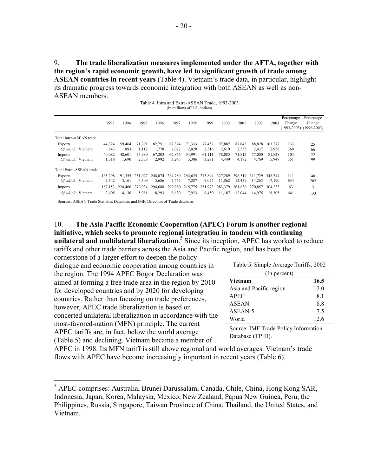9. **The trade liberalization measures implemented under the AFTA, together with the region's rapid economic growth, have led to significant growth of trade among ASEAN countries in recent years** (Table 4). Vietnam's trade data, in particular, highlight its dramatic progress towards economic integration with both ASEAN as well as non-ASEAN members.

Table 4. Intra and Extra-ASEAN Trade, 1993-2003 (In millions of U.S. dollars)

|                         | 1993    | 1994    | 1995    | 1996    | 1997    | 1998    | 1999    | 2000    | 2001    | 2002    | 2003    | Percentage<br>Change | Percentage<br>Change<br>$(1993-2003)$ $(1996-2003)$ |
|-------------------------|---------|---------|---------|---------|---------|---------|---------|---------|---------|---------|---------|----------------------|-----------------------------------------------------|
| Total Intra-ASEAN trade |         |         |         |         |         |         |         |         |         |         |         |                      |                                                     |
| Exports                 | 44,324  | 59.464  | 71.291  | 82,751  | 87.374  | 71,333  | 77,452  | 97,887  | 87.043  | 88.828  | 103.277 | 133                  | 25                                                  |
| Of which: Vietnam       | 643     | 893     | 1,112   | 1.778   | 2,022   | 2,020   | 2,516   | 2.619   | 2,555   | 2.437   | 2,958   | 360                  | 66                                                  |
| Imports                 | 40,082  | 48.601  | 55.980  | 67,203  | 67,866  | 54,991  | 61.111  | 78.085  | 71.812  | 77.000  | 81.828  | 104                  | 22                                                  |
| Of which: Vietnam       | 1,318   | 1,690   | 2,378   | 2,992   | 3,245   | 3,386   | 3,291   | 4,449   | 4,172   | 4,769   | 5,949   | 351                  | 99                                                  |
| Total Extra-ASEAN trade |         |         |         |         |         |         |         |         |         |         |         |                      |                                                     |
| Exports                 | 165.298 | 191.355 | 231.027 | 248.074 | 264,780 | 254.625 | 275.894 | 327.289 | 298.519 | 311.729 | 348.344 | 111                  | 40                                                  |
| Of which: Vietnam       | 2,342   | 3.161   | 4,509   | 5,686   | 7,462   | 7,287   | 9,025   | 11,862  | 12.459  | 14.265  | 17.190  | 634                  | 202                                                 |
| Imports                 | 187.153 | 224,466 | 270,934 | 294,688 | 299,980 | 215,775 | 231,973 | 283,379 | 261,630 | 270,857 | 304.233 | 63                   | 3                                                   |
| Of which: Vietnam       | 2,605   | 4,136   | 5,981   | 8,293   | 8,630   | 7,923   | 8,450   | 11,187  | 12.044  | 14,975  | 19,305  | 641                  | 133                                                 |

Sources: ASEAN Trade Statistics Database; and IMF, Direction of Trade database.

1

## 10. **The Asia Pacific Economic Cooperation (APEC) Forum is another regional initiative, which seeks to promote regional integration in tandem with continuing**  unilateral and multilateral liberalization.<sup>5</sup> Since its inception, APEC has worked to reduce

tariffs and other trade barriers across the Asia and Pacific region, and has been the

| Table 5. Simple Average Tariffs, 2002<br>(In percent)    |      |  |  |  |
|----------------------------------------------------------|------|--|--|--|
| <b>Vietnam</b>                                           | 16.5 |  |  |  |
| Asia and Pacific region                                  | 12.0 |  |  |  |
| <b>APEC</b>                                              | 8.1  |  |  |  |
| <b>ASEAN</b>                                             | 8.8  |  |  |  |
| ASEAN-5                                                  | 7.5  |  |  |  |
| World                                                    | 12.6 |  |  |  |
| Source: IMF Trade Policy Information<br>Database (TPID). |      |  |  |  |
|                                                          |      |  |  |  |

APEC in 1998. Its MFN tariff is still above regional and world averages. Vietnam's trade flows with APEC have become increasingly important in recent years (Table 6).

<sup>5</sup> APEC comprises: Australia, Brunei Darussalam, Canada, Chile, China, Hong Kong SAR, Indonesia, Japan, Korea, Malaysia, Mexico, New Zealand, Papua New Guinea, Peru, the Philippines, Russia, Singapore, Taiwan Province of China, Thailand, the United States, and Vietnam.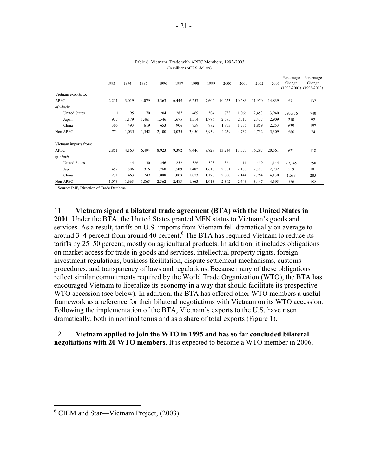|                       | 1993           | 1994  | 1995  | 1996  | 1997  | 1998  | 1999  | 2000   | 2001   | 2002   | 2003   | Percentage<br>Change<br>$(1993 - 2003)$ | Percentage<br>Change<br>$(1998-2003)$ |
|-----------------------|----------------|-------|-------|-------|-------|-------|-------|--------|--------|--------|--------|-----------------------------------------|---------------------------------------|
| Vietnam exports to:   |                |       |       |       |       |       |       |        |        |        |        |                                         |                                       |
| APEC                  | 2,211          | 3,019 | 4,079 | 5,363 | 6,449 | 6,257 | 7,602 | 10,223 | 10,283 | 11,970 | 14,839 | 571                                     | 137                                   |
| of which:             |                |       |       |       |       |       |       |        |        |        |        |                                         |                                       |
| <b>United States</b>  |                | 95    | 170   | 204   | 287   | 469   | 504   | 733    | 1,066  | 2,453  | 3,940  | 393,856                                 | 740                                   |
| Japan                 | 937            | 1,179 | 1,461 | 1,546 | 1,675 | 1,514 | 1,786 | 2,575  | 2,510  | 2,437  | 2,909  | 210                                     | 92                                    |
| China                 | 305            | 493   | 619   | 653   | 906   | 759   | 982   | 1,853  | 1,735  | 1,859  | 2,253  | 639                                     | 197                                   |
| Non APEC              | 774            | 1,035 | 1,542 | 2,100 | 3,035 | 3,050 | 3,939 | 4,259  | 4,732  | 4,732  | 5,309  | 586                                     | 74                                    |
| Vietnam imports from: |                |       |       |       |       |       |       |        |        |        |        |                                         |                                       |
| <b>APEC</b>           | 2,851          | 4,163 | 6,494 | 8,923 | 9,392 | 9,446 | 9,828 | 13,244 | 13,573 | 16,297 | 20,561 | 621                                     | 118                                   |
| of which:             |                |       |       |       |       |       |       |        |        |        |        |                                         |                                       |
| <b>United States</b>  | $\overline{4}$ | 44    | 130   | 246   | 252   | 326   | 323   | 364    | 411    | 459    | 1,144  | 29,945                                  | 250                                   |
| Japan                 | 452            | 586   | 916   | 1,260 | 1,509 | 1,482 | 1,618 | 2,301  | 2,183  | 2,505  | 2,982  | 559                                     | 101                                   |
| China                 | 231            | 463   | 749   | 1,088 | 1,003 | 1,073 | 1,178 | 2,000  | 2,144  | 2,964  | 4,130  | 1,688                                   | 285                                   |
| Non APEC              | 1,073          | 1,663 | 1,865 | 2,362 | 2,483 | 1,863 | 1,913 | 2,392  | 2,643  | 3,447  | 4,693  | 338                                     | 152                                   |

Table 6. Vietnam. Trade with APEC Members, 1993-2003 (In millions of U.S. dollars)

Source: IMF, Direction of Trade Database.

11. **Vietnam signed a bilateral trade agreement (BTA) with the United States in 2001**. Under the BTA, the United States granted MFN status to Vietnam's goods and services. As a result, tariffs on U.S. imports from Vietnam fell dramatically on average to around  $3-4$  percent from around  $40$  percent.<sup>6</sup> The BTA has required Vietnam to reduce its tariffs by 25–50 percent, mostly on agricultural products. In addition, it includes obligations on market access for trade in goods and services, intellectual property rights, foreign investment regulations, business facilitation, dispute settlement mechanisms, customs procedures, and transparency of laws and regulations.Because many of these obligations reflect similar commitments required by the World Trade Organization (WTO), the BTA has encouraged Vietnam to liberalize its economy in a way that should facilitate its prospective WTO accession (see below). In addition, the BTA has offered other WTO members a useful framework as a reference for their bilateral negotiations with Vietnam on its WTO accession. Following the implementation of the BTA, Vietnam's exports to the U.S. have risen dramatically, both in nominal terms and as a share of total exports (Figure 1).

## 12. **Vietnam applied to join the WTO in 1995 and has so far concluded bilateral negotiations with 20 WTO members**. It is expected to become a WTO member in 2006.

1

<sup>&</sup>lt;sup>6</sup> CIEM and Star—Vietnam Project, (2003).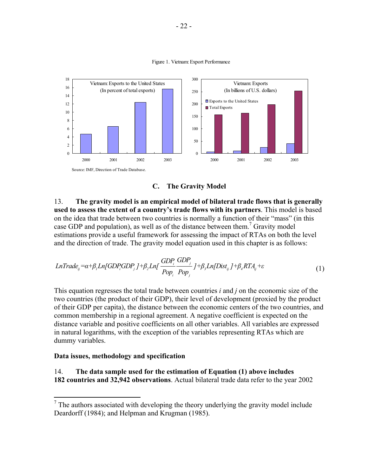

Figure 1. Vietnam: Export Performance



13. **The gravity model is an empirical model of bilateral trade flows that is generally used to assess the extent of a country's trade flows with its partners**. This model is based on the idea that trade between two countries is normally a function of their "mass" (in this case GDP and population), as well as of the distance between them.<sup>7</sup> Gravity model estimations provide a useful framework for assessing the impact of RTAs on both the level and the direction of trade. The gravity model equation used in this chapter is as follows:

$$
LnTrace_{ij} = \alpha + \beta_1 Ln[GDP_iGDP_j] + \beta_2 Ln[\frac{GDP_i}{Pop_i}\frac{GDP_j}{Pop_j}] + \beta_3 Ln[Dist_{ij}] + \beta_4 RTA_{ij} + \varepsilon
$$
\n(1)

This equation regresses the total trade between countries *i* and *j* on the economic size of the two countries (the product of their GDP), their level of development (proxied by the product of their GDP per capita), the distance between the economic centers of the two countries, and common membership in a regional agreement. A negative coefficient is expected on the distance variable and positive coefficients on all other variables. All variables are expressed in natural logarithms, with the exception of the variables representing RTAs which are dummy variables.

## **Data issues, methodology and specification**

14. **The data sample used for the estimation of Equation (1) above includes 182 countries and 32,942 observations**. Actual bilateral trade data refer to the year 2002

 $\overline{a}$ <sup>7</sup> The authors associated with developing the theory underlying the gravity model include Deardorff (1984); and Helpman and Krugman (1985).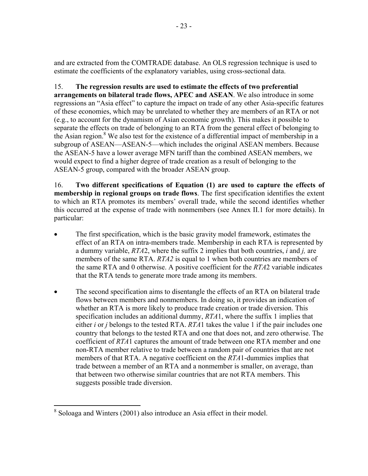and are extracted from the COMTRADE database. An OLS regression technique is used to estimate the coefficients of the explanatory variables, using cross-sectional data.

15. **The regression results are used to estimate the effects of two preferential arrangements on bilateral trade flows, APEC and ASEAN**. We also introduce in some regressions an "Asia effect" to capture the impact on trade of any other Asia-specific features of these economies, which may be unrelated to whether they are members of an RTA or not (e.g., to account for the dynamism of Asian economic growth). This makes it possible to separate the effects on trade of belonging to an RTA from the general effect of belonging to the Asian region.<sup>8</sup> We also test for the existence of a differential impact of membership in a subgroup of ASEAN—ASEAN-5—which includes the original ASEAN members. Because the ASEAN-5 have a lower average MFN tariff than the combined ASEAN members, we would expect to find a higher degree of trade creation as a result of belonging to the ASEAN-5 group, compared with the broader ASEAN group.

16. **Two different specifications of Equation (1) are used to capture the effects of membership in regional groups on trade flows**. The first specification identifies the extent to which an RTA promotes its members' overall trade, while the second identifies whether this occurred at the expense of trade with nonmembers (see Annex II.1 for more details). In particular:

- The first specification, which is the basic gravity model framework, estimates the effect of an RTA on intra-members trade. Membership in each RTA is represented by a dummy variable, *RTA*2, where the suffix 2 implies that both countries, *i* and *j,* are members of the same RTA. *RTA2* is equal to 1 when both countries are members of the same RTA and 0 otherwise. A positive coefficient for the *RTA*2 variable indicates that the RTA tends to generate more trade among its members.
- The second specification aims to disentangle the effects of an RTA on bilateral trade flows between members and nonmembers. In doing so, it provides an indication of whether an RTA is more likely to produce trade creation or trade diversion. This specification includes an additional dummy, *RTA*1, where the suffix 1 implies that either *i* or *j* belongs to the tested RTA. *RTA*1 takes the value 1 if the pair includes one country that belongs to the tested RTA and one that does not, and zero otherwise. The coefficient of *RTA*1 captures the amount of trade between one RTA member and one non-RTA member relative to trade between a random pair of countries that are not members of that RTA. A negative coefficient on the *RTA*1-dummies implies that trade between a member of an RTA and a nonmember is smaller, on average, than that between two otherwise similar countries that are not RTA members. This suggests possible trade diversion.

<sup>&</sup>lt;sup>8</sup> Soloaga and Winters (2001) also introduce an Asia effect in their model.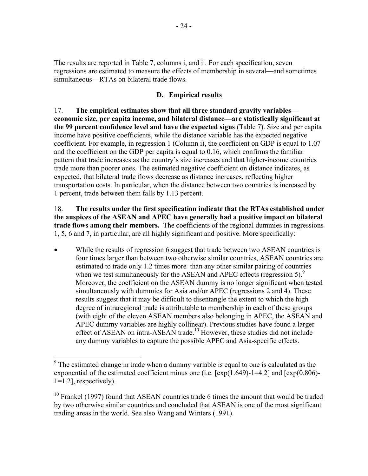The results are reported in Table 7, columns i, and ii. For each specification, seven regressions are estimated to measure the effects of membership in several—and sometimes simultaneous—RTAs on bilateral trade flows.

# **D. Empirical results**

17. **The empirical estimates show that all three standard gravity variables economic size, per capita income, and bilateral distance—are statistically significant at the 99 percent confidence level and have the expected signs** (Table 7). Size and per capita income have positive coefficients, while the distance variable has the expected negative coefficient. For example, in regression 1 (Column i), the coefficient on GDP is equal to 1.07 and the coefficient on the GDP per capita is equal to 0.16, which confirms the familiar pattern that trade increases as the country's size increases and that higher-income countries trade more than poorer ones. The estimated negative coefficient on distance indicates, as expected, that bilateral trade flows decrease as distance increases, reflecting higher transportation costs. In particular, when the distance between two countries is increased by 1 percent, trade between them falls by 1.13 percent.

18. **The results under the first specification indicate that the RTAs established under the auspices of the ASEAN and APEC have generally had a positive impact on bilateral trade flows among their members.** The coefficients of the regional dummies in regressions 1, 5, 6 and 7, in particular, are all highly significant and positive. More specifically:

While the results of regression 6 suggest that trade between two ASEAN countries is four times larger than between two otherwise similar countries, ASEAN countries are estimated to trade only 1.2 times more than any other similar pairing of countries when we test simultaneously for the ASEAN and APEC effects (regression 5).<sup>9</sup> Moreover, the coefficient on the ASEAN dummy is no longer significant when tested simultaneously with dummies for Asia and/or APEC (regressions 2 and 4). These results suggest that it may be difficult to disentangle the extent to which the high degree of intraregional trade is attributable to membership in each of these groups (with eight of the eleven ASEAN members also belonging in APEC, the ASEAN and APEC dummy variables are highly collinear). Previous studies have found a larger effect of ASEAN on intra-ASEAN trade.<sup>10</sup> However, these studies did not include any dummy variables to capture the possible APEC and Asia-specific effects.

1

 $9<sup>9</sup>$  The estimated change in trade when a dummy variable is equal to one is calculated as the exponential of the estimated coefficient minus one (i.e.  $[\exp(1.649)$ -1=4.2] and  $[\exp(0.806)$ - $1=1.2$ ], respectively).

<sup>&</sup>lt;sup>10</sup> Frankel (1997) found that ASEAN countries trade 6 times the amount that would be traded by two otherwise similar countries and concluded that ASEAN is one of the most significant trading areas in the world. See also Wang and Winters (1991).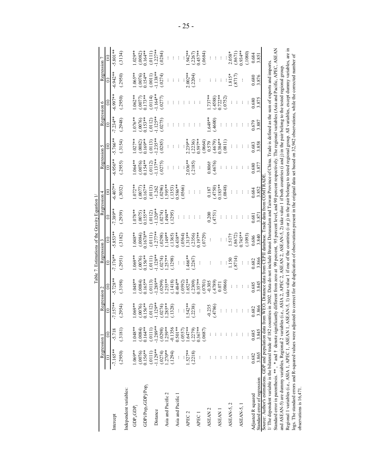|                                                                                                                                                                                                         |                     |                      |                   |                     |                      |                        | . Estimations of the Gravity Equation |                                                                                                                                      |                         |                        |                         |                      |                       |                        |
|---------------------------------------------------------------------------------------------------------------------------------------------------------------------------------------------------------|---------------------|----------------------|-------------------|---------------------|----------------------|------------------------|---------------------------------------|--------------------------------------------------------------------------------------------------------------------------------------|-------------------------|------------------------|-------------------------|----------------------|-----------------------|------------------------|
|                                                                                                                                                                                                         | Regression          |                      |                   | Regression 2        | Regression 3         |                        |                                       | Regression 4                                                                                                                         | Regression 5            |                        | Regression 6            |                      | Regression            |                        |
|                                                                                                                                                                                                         |                     |                      |                   |                     |                      | Ξ                      |                                       |                                                                                                                                      |                         |                        |                         |                      |                       |                        |
| Intercept                                                                                                                                                                                               | $-7.165***$         | $-5.718$             | $.157**$          | $5.728**$           | $-7.176**$           | $-5.853**$             | $7.389**$                             | $6.407**$                                                                                                                            | $6.956**$               | $-5.766**$             | $-7.234**$              | $-6.997**$           | $6.942**$             | 5.801 **               |
|                                                                                                                                                                                                         | (.2950)             | (.3181)              | .2954)            | (.3198)             | (.2951)              | (.3182)                | (.2939)                               | (.3032)                                                                                                                              | (.2955)                 | (.3154)                | (2948)                  | (2950)               | (2950)                | (.3134)                |
| ndependent variables:                                                                                                                                                                                   |                     |                      |                   |                     |                      |                        |                                       |                                                                                                                                      |                         |                        |                         |                      |                       |                        |
| GDP <sub>i</sub> GDP                                                                                                                                                                                    | 1.069**             | 1.048**              | $.069**$          | $048**$             | $0.69**$             | $0.048**$              | $.078**$                              | $.072**$                                                                                                                             | $.064**$                | $1.027**$              | $-076**$                | $.062**$             | $0.065**$             | $.029**$               |
| GDPi/Pop <sub>i</sub> «GDPj/Pop <sub>i</sub>                                                                                                                                                            | $0.156**$<br>(0076) | $0.164**$<br>(.0084) | .156**<br>.0076   | $0.165**$<br>.0084  | $0.156**$<br>(.0076) | $(0.0084)$<br>0.1678** | $(0.0075)$<br>$0.155***$              | (1677)                                                                                                                               | $(0.0076)$<br>$0.154**$ | $(.0082)$<br>$0.169**$ | $(0.0076)$<br>$0.153**$ | $(0077)$<br>$(173**$ | $(0076)$<br>$0.154**$ | $(.0082)$<br>$0.164**$ |
| Distance                                                                                                                                                                                                | 1.129**<br>(.0111)  | $1.289**$<br>(.0111) | $.129**$<br>.0112 | $1.289**$<br>(0113) | $1.128**$<br>(111)   | $1.277***$<br>(.0111)  | $120**$<br>(.0112)                    | (0113)<br>$-1.262$                                                                                                                   | $1.137***$<br>(0112)    | $1.235**$<br>(.0113)   | $1.125**$<br>(.0112)    | $1.164**$<br>(.0114) | 1.138**<br>(.0011)    | $1.227**$<br>(.0111)   |
|                                                                                                                                                                                                         | (.0274)             | (.0298)              | .0274)            | .0299               | .0274)               | (0.298)                | .0274)                                | (.0296)                                                                                                                              | .0275                   | (.0285)                | (.0275)                 | (0277)               | (.0274)               | (.0284)                |
| Asia and Pacific 2                                                                                                                                                                                      | $.270**$<br>.1294)  | 0.1356<br>$1.259**$  | 285**<br>1328)    | $.255**$<br>.1418   | $.257**$<br>.1298    | .149**<br>(.1365)      | ***494<br>(1295)                      | $.595**$<br>(1353)                                                                                                                   |                         |                        |                         |                      |                       |                        |
| Asia and Pacific 1                                                                                                                                                                                      |                     | $0.501**$            |                   | $.484**$            |                      | $0.438**$              |                                       | .586**                                                                                                                               |                         |                        |                         |                      |                       |                        |
|                                                                                                                                                                                                         |                     | (.0557)              |                   | .0592               |                      | (0564)                 |                                       | (0566)                                                                                                                               |                         |                        |                         |                      |                       |                        |
| APEC <sub>2</sub>                                                                                                                                                                                       | $.527***$           | $.647**$             | 542**             | $.652**$            | 466**                | $.313**$               |                                       |                                                                                                                                      | $2.036**$               | $2.239**$              |                         |                      | $2.002**$             | .942 **                |
|                                                                                                                                                                                                         | (.2218)             | (2279)               | .2238)            | .2309               | .2267                | (2356)                 |                                       |                                                                                                                                      | (.2185)                 | (2236)                 |                         |                      | (.2204)               | $(2267)$<br>$(1457**$  |
| <b>APEC</b>                                                                                                                                                                                             |                     | $0.367**$            |                   | $.357**$            |                      | $0.197**$              |                                       | ÷                                                                                                                                    |                         | $0.597**$              |                         |                      |                       |                        |
|                                                                                                                                                                                                         |                     | (.0687)              |                   | .0701)              |                      | (627)                  |                                       |                                                                                                                                      |                         | (.0664)                |                         |                      |                       | (.0684)                |
| ASEAN <sub>2</sub>                                                                                                                                                                                      |                     |                      | $-0.235$          | 0.305               |                      |                        | 0.200                                 | 0.187                                                                                                                                | $0.806\dagger$          | 0.579                  | **049.                  | $.737**$             |                       |                        |
| ASEAN 1                                                                                                                                                                                                 |                     |                      | .4786)            | (684+<br>0.071      |                      |                        | (4751)                                | $0.183**$<br>.4750                                                                                                                   | $-4676$                 | $0.384**$<br>(4679)    | (009)                   | $0.722**$<br>(.4588) |                       |                        |
|                                                                                                                                                                                                         |                     |                      |                   | .0866               |                      |                        |                                       | (.0848)                                                                                                                              |                         | (0811)                 |                         | (.0752)              |                       |                        |
| ASEAN-5, 2                                                                                                                                                                                              |                     |                      |                   |                     | 150                  | .517 <sub>1</sub>      |                                       |                                                                                                                                      |                         |                        |                         |                      | $.815*$               | $2.058*$               |
|                                                                                                                                                                                                         |                     |                      |                   |                     | .8714                | (.8672)                |                                       |                                                                                                                                      |                         |                        |                         |                      | (.8717)               | (.8671)                |
| ASEAN-5, 1                                                                                                                                                                                              |                     |                      |                   |                     |                      | $0.745**$              |                                       |                                                                                                                                      |                         |                        |                         |                      | $\vdots$              | $0.934**$              |
|                                                                                                                                                                                                         |                     |                      |                   |                     |                      | (1093)                 |                                       |                                                                                                                                      |                         |                        |                         |                      |                       | (.1080)                |
| Adjusted R squared                                                                                                                                                                                      | 0.682               | 0.685                | 0.682             | 0.685               | 0.682                | 0.686                  | 0.681                                 | 0.684                                                                                                                                | 0.680                   | 0.683                  | 0.679                   | 0.680                | 0.680                 | 0.684                  |
| Standard error of regression                                                                                                                                                                            | 3.865               | 3.845                | 3.866             | 3.845               | 3.866                | 3.840                  | 3.87                                  | 3.852                                                                                                                                | 3.877                   | 3.858                  | 3.887                   | 3.875                | 3.876                 | 3.851                  |
| Source: Author's estimations. GDP and population data from WEO. Distance data from CEPII database. Trade data from COMTRAD<br>The dependent variable is the bilateral trade of 182 count                |                     |                      |                   |                     |                      |                        |                                       | ries in 2002. Data do not include Brunei Darussalam and Taiwan Province of China. Trade is defined as the sum of exports and imports |                         |                        |                         |                      |                       |                        |
| Standard error in parenthesis. **, * and † denote significantly different from zero at 99 percent, 95 percent level, and 90 percent respectively. The regional variables (Asia and Pacific, APEC, ASEAN |                     |                      |                   |                     |                      |                        |                                       |                                                                                                                                      |                         |                        |                         |                      |                       |                        |
| and ASEAN-5) are dummy variables. Regional 2 variables (i.e., ASIA 2, AFEC 2, ASEAN 2, ASEAN-5, 2) take value 1 if both countries (i and j) in the pair belong to the tested regional group             |                     |                      |                   |                     |                      |                        |                                       |                                                                                                                                      |                         |                        |                         |                      |                       |                        |
| Regional 1 variables (i.e., ASIA 1, APEC 1, ASEAN-1, ASEAN-5, 1) take value 1 if one of the countries (i or j) in the pair belongs to tested regional group. All variables, except dummy variables,     |                     |                      |                   |                     |                      |                        |                                       |                                                                                                                                      |                         |                        |                         |                      |                       | .日<br>are              |
| ogs. The standard errors and R-squared values were adjusted to correct for the duplication of observations present in the original data set based on 32,942 observations, while the corrected number of |                     |                      |                   |                     |                      |                        |                                       |                                                                                                                                      |                         |                        |                         |                      |                       |                        |
| observations is 16,471.                                                                                                                                                                                 |                     |                      |                   |                     |                      |                        |                                       |                                                                                                                                      |                         |                        |                         |                      |                       |                        |

 $- 25 -$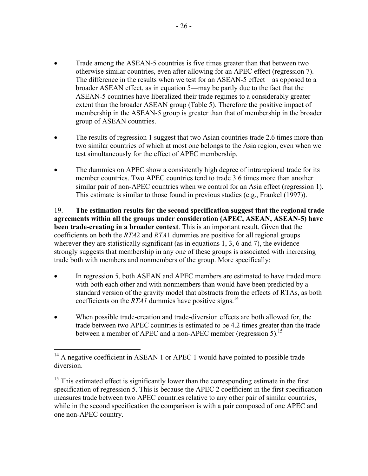- Trade among the ASEAN-5 countries is five times greater than that between two otherwise similar countries, even after allowing for an APEC effect (regression 7). The difference in the results when we test for an ASEAN-5 effect—as opposed to a broader ASEAN effect, as in equation 5—may be partly due to the fact that the ASEAN-5 countries have liberalized their trade regimes to a considerably greater extent than the broader ASEAN group (Table 5). Therefore the positive impact of membership in the ASEAN-5 group is greater than that of membership in the broader group of ASEAN countries.
- The results of regression 1 suggest that two Asian countries trade 2.6 times more than two similar countries of which at most one belongs to the Asia region, even when we test simultaneously for the effect of APEC membership.
- The dummies on APEC show a consistently high degree of intraregional trade for its member countries. Two APEC countries tend to trade 3.6 times more than another similar pair of non-APEC countries when we control for an Asia effect (regression 1). This estimate is similar to those found in previous studies (e.g., Frankel (1997)).

19. **The estimation results for the second specification suggest that the regional trade agreements within all the groups under consideration (APEC, ASEAN, ASEAN-5) have been trade-creating in a broader context**. This is an important result. Given that the coefficients on both the *RTA*2 and *RTA*1 dummies are positive for all regional groups wherever they are statistically significant (as in equations 1, 3, 6 and 7), the evidence strongly suggests that membership in any one of these groups is associated with increasing trade both with members and nonmembers of the group. More specifically:

- In regression 5, both ASEAN and APEC members are estimated to have traded more with both each other and with nonmembers than would have been predicted by a standard version of the gravity model that abstracts from the effects of RTAs, as both coefficients on the *RTA1* dummies have positive signs.<sup>14</sup>
- When possible trade-creation and trade-diversion effects are both allowed for, the trade between two APEC countries is estimated to be 4.2 times greater than the trade between a member of APEC and a non-APEC member (regression 5).<sup>15</sup>

 $\overline{a}$  $14$  A negative coefficient in ASEAN 1 or APEC 1 would have pointed to possible trade diversion.

<sup>&</sup>lt;sup>15</sup> This estimated effect is significantly lower than the corresponding estimate in the first specification of regression 5. This is because the APEC 2 coefficient in the first specification measures trade between two APEC countries relative to any other pair of similar countries, while in the second specification the comparison is with a pair composed of one APEC and one non-APEC country.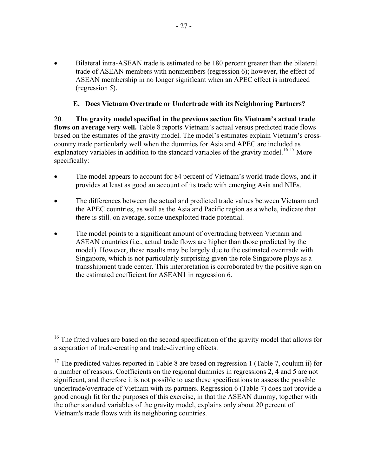• Bilateral intra-ASEAN trade is estimated to be 180 percent greater than the bilateral trade of ASEAN members with nonmembers (regression 6); however, the effect of ASEAN membership in no longer significant when an APEC effect is introduced (regression 5).

# **E. Does Vietnam Overtrade or Undertrade with its Neighboring Partners?**

20. **The gravity model specified in the previous section fits Vietnam's actual trade flows on average very well.** Table 8 reports Vietnam's actual versus predicted trade flows based on the estimates of the gravity model. The model's estimates explain Vietnam's crosscountry trade particularly well when the dummies for Asia and APEC are included as explanatory variables in addition to the standard variables of the gravity model.<sup>16-17</sup> More specifically:

- The model appears to account for 84 percent of Vietnam's world trade flows, and it provides at least as good an account of its trade with emerging Asia and NIEs.
- The differences between the actual and predicted trade values between Vietnam and the APEC countries, as well as the Asia and Pacific region as a whole, indicate that there is still, on average, some unexploited trade potential.
- The model points to a significant amount of overtrading between Vietnam and ASEAN countries (i.e., actual trade flows are higher than those predicted by the model). However, these results may be largely due to the estimated overtrade with Singapore, which is not particularly surprising given the role Singapore plays as a transshipment trade center. This interpretation is corroborated by the positive sign on the estimated coefficient for ASEAN1 in regression 6.

 $\overline{a}$ 

 $16$ <sup>16</sup> The fitted values are based on the second specification of the gravity model that allows for a separation of trade-creating and trade-diverting effects.

 $17$  The predicted values reported in Table 8 are based on regression 1 (Table 7, coulum ii) for a number of reasons. Coefficients on the regional dummies in regressions 2, 4 and 5 are not significant, and therefore it is not possible to use these specifications to assess the possible undertrade/overtrade of Vietnam with its partners. Regression 6 (Table 7) does not provide a good enough fit for the purposes of this exercise, in that the ASEAN dummy, together with the other standard variables of the gravity model, explains only about 20 percent of Vietnam's trade flows with its neighboring countries.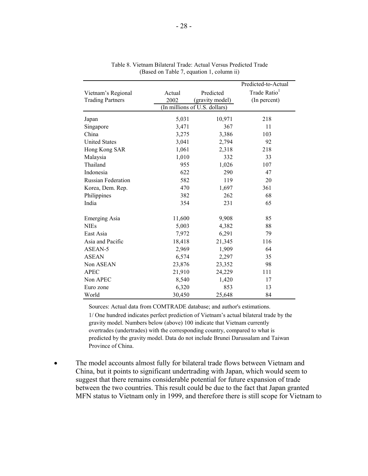|                           |        |                               | Predicted-to-Actual      |
|---------------------------|--------|-------------------------------|--------------------------|
| Vietnam's Regional        | Actual | Predicted                     | Trade Ratio <sup>1</sup> |
| <b>Trading Partners</b>   | 2002   | (gravity model)               | (In percent)             |
|                           |        | (In millions of U.S. dollars) |                          |
| Japan                     | 5,031  | 10,971                        | 218                      |
| Singapore                 | 3,471  | 367                           | 11                       |
| China                     | 3,275  | 3,386                         | 103                      |
| <b>United States</b>      | 3,041  | 2,794                         | 92                       |
| Hong Kong SAR             | 1,061  | 2,318                         | 218                      |
| Malaysia                  | 1,010  | 332                           | 33                       |
| Thailand                  | 955    | 1,026                         | 107                      |
| Indonesia                 | 622    | 290                           | 47                       |
| <b>Russian Federation</b> | 582    | 119                           | 20                       |
| Korea, Dem. Rep.          | 470    | 1,697                         | 361                      |
| Philippines               | 382    | 262                           | 68                       |
| India                     | 354    | 231                           | 65                       |
| Emerging Asia             | 11,600 | 9,908                         | 85                       |
| <b>NIEs</b>               | 5,003  | 4,382                         | 88                       |
| East Asia                 | 7,972  | 6,291                         | 79                       |
| Asia and Pacific          | 18,418 | 21,345                        | 116                      |
| ASEAN-5                   | 2,969  | 1,909                         | 64                       |
| <b>ASEAN</b>              | 6,574  | 2,297                         | 35                       |
| Non ASEAN                 | 23,876 | 23,352                        | 98                       |
| <b>APEC</b>               | 21,910 | 24,229                        | 111                      |
| Non APEC                  | 8,540  | 1,420                         | 17                       |
| Euro zone                 | 6,320  | 853                           | 13                       |
| World                     | 30,450 | 25,648                        | 84                       |

|  |                                           |  | Table 8. Vietnam Bilateral Trade: Actual Versus Predicted Trade |  |
|--|-------------------------------------------|--|-----------------------------------------------------------------|--|
|  | (Based on Table 7, equation 1, column ii) |  |                                                                 |  |

Sources: Actual data from COMTRADE database; and author's estimations. 1/ One hundred indicates perfect prediction of Vietnam's actual bilateral trade by the gravity model. Numbers below (above) 100 indicate that Vietnam currently overtrades (undertrades) with the corresponding country, compared to what is predicted by the gravity model. Data do not include Brunei Darussalam and Taiwan Province of China.

The model accounts almost fully for bilateral trade flows between Vietnam and China, but it points to significant undertrading with Japan, which would seem to suggest that there remains considerable potential for future expansion of trade between the two countries. This result could be due to the fact that Japan granted MFN status to Vietnam only in 1999, and therefore there is still scope for Vietnam to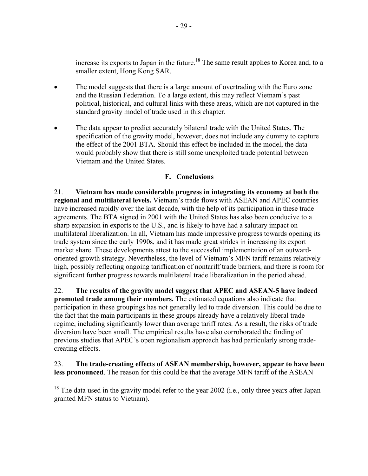increase its exports to Japan in the future.<sup>18</sup> The same result applies to Korea and, to a smaller extent, Hong Kong SAR.

- The model suggests that there is a large amount of overtrading with the Euro zone and the Russian Federation. To a large extent, this may reflect Vietnam's past political, historical, and cultural links with these areas, which are not captured in the standard gravity model of trade used in this chapter.
- The data appear to predict accurately bilateral trade with the United States. The specification of the gravity model, however, does not include any dummy to capture the effect of the 2001 BTA. Should this effect be included in the model, the data would probably show that there is still some unexploited trade potential between Vietnam and the United States.

# **F. Conclusions**

21. **Vietnam has made considerable progress in integrating its economy at both the regional and multilateral levels.** Vietnam's trade flows with ASEAN and APEC countries have increased rapidly over the last decade, with the help of its participation in these trade agreements. The BTA signed in 2001 with the United States has also been conducive to a sharp expansion in exports to the U.S., and is likely to have had a salutary impact on multilateral liberalization. In all, Vietnam has made impressive progress towards opening its trade system since the early 1990s, and it has made great strides in increasing its export market share. These developments attest to the successful implementation of an outwardoriented growth strategy. Nevertheless, the level of Vietnam's MFN tariff remains relatively high, possibly reflecting ongoing tariffication of nontariff trade barriers, and there is room for significant further progress towards multilateral trade liberalization in the period ahead.

22. **The results of the gravity model suggest that APEC and ASEAN-5 have indeed promoted trade among their members.** The estimated equations also indicate that participation in these groupings has not generally led to trade diversion. This could be due to the fact that the main participants in these groups already have a relatively liberal trade regime, including significantly lower than average tariff rates. As a result, the risks of trade diversion have been small. The empirical results have also corroborated the finding of previous studies that APEC's open regionalism approach has had particularly strong tradecreating effects.

23. **The trade-creating effects of ASEAN membership, however, appear to have been less pronounced**. The reason for this could be that the average MFN tariff of the ASEAN

 $\overline{a}$ 

 $18$  The data used in the gravity model refer to the year 2002 (i.e., only three years after Japan granted MFN status to Vietnam).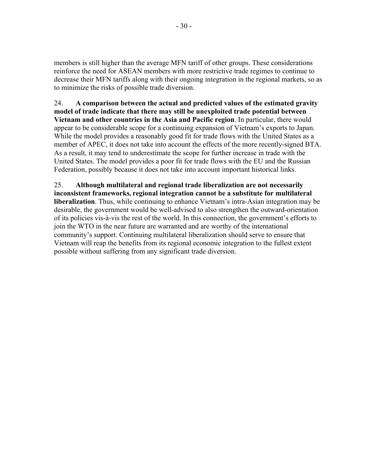members is still higher than the average MFN tariff of other groups. These considerations reinforce the need for ASEAN members with more restrictive trade regimes to continue to decrease their MFN tariffs along with their ongoing integration in the regional markets, so as to minimize the risks of possible trade diversion.

24. **A comparison between the actual and predicted values of the estimated gravity model of trade indicate that there may still be unexploited trade potential between Vietnam and other countries in the Asia and Pacific region**. In particular, there would appear to be considerable scope for a continuing expansion of Vietnam's exports to Japan. While the model provides a reasonably good fit for trade flows with the United States as a member of APEC, it does not take into account the effects of the more recently-signed BTA. As a result, it may tend to underestimate the scope for further increase in trade with the United States. The model provides a poor fit for trade flows with the EU and the Russian Federation, possibly because it does not take into account important historical links.

25. **Although multilateral and regional trade liberalization are not necessarily inconsistent frameworks, regional integration cannot be a substitute for multilateral liberalization**. Thus, while continuing to enhance Vietnam's intra-Asian integration may be desirable, the government would be well-advised to also strengthen the outward-orientation of its policies vis-à-vis the rest of the world. In this connection, the government's efforts to join the WTO in the near future are warranted and are worthy of the international community's support. Continuing multilateral liberalization should serve to ensure that Vietnam will reap the benefits from its regional economic integration to the fullest extent possible without suffering from any significant trade diversion.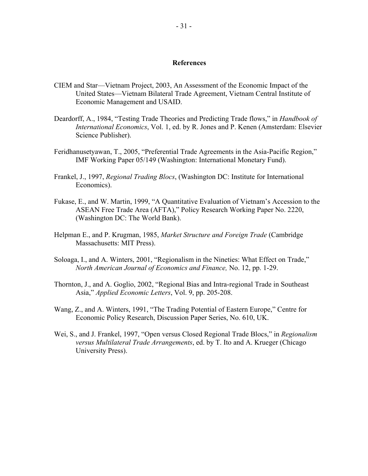#### **References**

- CIEM and Star—Vietnam Project, 2003, An Assessment of the Economic Impact of the United States—Vietnam Bilateral Trade Agreement, Vietnam Central Institute of Economic Management and USAID.
- Deardorff, A., 1984, "Testing Trade Theories and Predicting Trade flows," in *Handbook of International Economics*, Vol. 1, ed. by R. Jones and P. Kenen (Amsterdam: Elsevier Science Publisher).
- Feridhanusetyawan, T., 2005, "Preferential Trade Agreements in the Asia-Pacific Region," IMF Working Paper 05/149 (Washington: International Monetary Fund).
- Frankel, J., 1997, *Regional Trading Blocs*, (Washington DC: Institute for International Economics).
- Fukase, E., and W. Martin, 1999, "A Quantitative Evaluation of Vietnam's Accession to the ASEAN Free Trade Area (AFTA)," Policy Research Working Paper No. 2220, (Washington DC: The World Bank).
- Helpman E., and P. Krugman, 1985, *Market Structure and Foreign Trade* (Cambridge Massachusetts: MIT Press).
- Soloaga, I., and A. Winters, 2001, "Regionalism in the Nineties: What Effect on Trade," *North American Journal of Economics and Finance,* No. 12, pp. 1-29.
- Thornton, J., and A. Goglio, 2002, "Regional Bias and Intra-regional Trade in Southeast Asia," *Applied Economic Letters*, Vol. 9, pp. 205-208.
- Wang, Z., and A. Winters, 1991, "The Trading Potential of Eastern Europe," Centre for Economic Policy Research, Discussion Paper Series, No. 610, UK.
- Wei, S., and J. Frankel, 1997, "Open versus Closed Regional Trade Blocs," in *Regionalism versus Multilateral Trade Arrangements*, ed. by T. Ito and A. Krueger (Chicago University Press).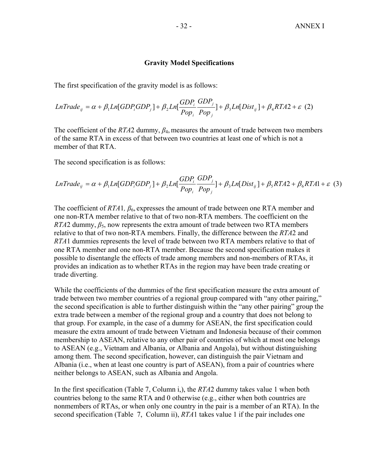#### **Gravity Model Specifications**

The first specification of the gravity model is as follows:

$$
LnTrace_{ij} = \alpha + \beta_1 Ln[GDP_i GDP_j] + \beta_2 Ln[\frac{GDP_i}{Pop_i} \frac{GDP_j}{Pop_j}] + \beta_3 Ln[Dist_{ij}] + \beta_4 RTA2 + \varepsilon
$$
 (2)

The coefficient of the *RTA*2 dummy, *β*4, measures the amount of trade between two members of the same RTA in excess of that between two countries at least one of which is not a member of that RTA.

The second specification is as follows:

$$
LnTrace_{ij} = \alpha + \beta_1 Ln[GDP_i GDP_j] + \beta_2 Ln[\frac{GDP_i}{Pop_i} \frac{GDP_j}{Pop_j}] + \beta_3 Ln[Dist_{ij}] + \beta_5 RTA2 + \beta_6 RTA1 + \varepsilon
$$
 (3)

The coefficient of *RTA*1*, β*6, expresses the amount of trade between one RTA member and one non-RTA member relative to that of two non-RTA members. The coefficient on the *RTA*2 dummy,  $\beta_5$ , now represents the extra amount of trade between two RTA members relative to that of two non-RTA members. Finally, the difference between the *RTA*2 and *RTA*1 dummies represents the level of trade between two RTA members relative to that of one RTA member and one non-RTA member. Because the second specification makes it possible to disentangle the effects of trade among members and non-members of RTAs, it provides an indication as to whether RTAs in the region may have been trade creating or trade diverting.

While the coefficients of the dummies of the first specification measure the extra amount of trade between two member countries of a regional group compared with "any other pairing," the second specification is able to further distinguish within the "any other pairing" group the extra trade between a member of the regional group and a country that does not belong to that group. For example, in the case of a dummy for ASEAN, the first specification could measure the extra amount of trade between Vietnam and Indonesia because of their common membership to ASEAN, relative to any other pair of countries of which at most one belongs to ASEAN (e.g., Vietnam and Albania, or Albania and Angola), but without distinguishing among them. The second specification, however, can distinguish the pair Vietnam and Albania (i.e., when at least one country is part of ASEAN), from a pair of countries where neither belongs to ASEAN, such as Albania and Angola.

In the first specification (Table 7, Column i,), the *RTA*2 dummy takes value 1 when both countries belong to the same RTA and 0 otherwise (e.g., either when both countries are nonmembers of RTAs, or when only one country in the pair is a member of an RTA). In the second specification (Table 7, Column ii), *RTA*1 takes value 1 if the pair includes one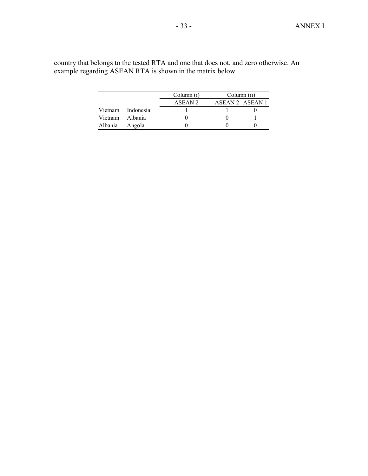|                 |                   | Column (i) | Column (ii)     |  |
|-----------------|-------------------|------------|-----------------|--|
|                 |                   | ASEAN 2    | ASEAN 2 ASEAN 1 |  |
|                 | Vietnam Indonesia |            |                 |  |
| Vietnam Albania |                   |            |                 |  |
| Albania         | Angola            |            |                 |  |

country that belongs to the tested RTA and one that does not, and zero otherwise. An example regarding ASEAN RTA is shown in the matrix below.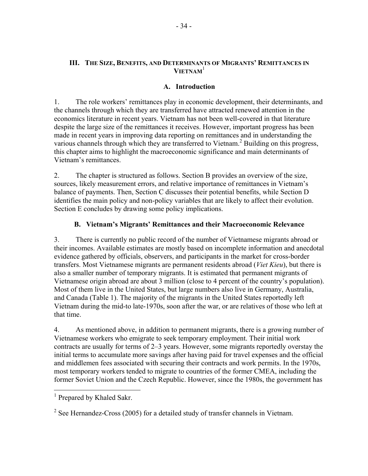# **III. THE SIZE, BENEFITS, AND DETERMINANTS OF MIGRANTS' REMITTANCES IN VIETNAM**<sup>1</sup>

# **A. Introduction**

1. The role workers' remittances play in economic development, their determinants, and the channels through which they are transferred have attracted renewed attention in the economics literature in recent years. Vietnam has not been well-covered in that literature despite the large size of the remittances it receives. However, important progress has been made in recent years in improving data reporting on remittances and in understanding the various channels through which they are transferred to Vietnam.<sup>2</sup> Building on this progress, this chapter aims to highlight the macroeconomic significance and main determinants of Vietnam's remittances.

2. The chapter is structured as follows. Section B provides an overview of the size, sources, likely measurement errors, and relative importance of remittances in Vietnam's balance of payments. Then, Section C discusses their potential benefits, while Section D identifies the main policy and non-policy variables that are likely to affect their evolution. Section E concludes by drawing some policy implications.

# **B. Vietnam's Migrants' Remittances and their Macroeconomic Relevance**

3. There is currently no public record of the number of Vietnamese migrants abroad or their incomes. Available estimates are mostly based on incomplete information and anecdotal evidence gathered by officials, observers, and participants in the market for cross-border transfers. Most Vietnamese migrants are permanent residents abroad (*Viet Kieu*), but there is also a smaller number of temporary migrants. It is estimated that permanent migrants of Vietnamese origin abroad are about 3 million (close to 4 percent of the country's population). Most of them live in the United States, but large numbers also live in Germany, Australia, and Canada (Table 1). The majority of the migrants in the United States reportedly left Vietnam during the mid-to late-1970s, soon after the war, or are relatives of those who left at that time.

4. As mentioned above, in addition to permanent migrants, there is a growing number of Vietnamese workers who emigrate to seek temporary employment. Their initial work contracts are usually for terms of 2–3 years. However, some migrants reportedly overstay the initial terms to accumulate more savings after having paid for travel expenses and the official and middlemen fees associated with securing their contracts and work permits. In the 1970s, most temporary workers tended to migrate to countries of the former CMEA, including the former Soviet Union and the Czech Republic. However, since the 1980s, the government has

 $\overline{a}$ 

<sup>&</sup>lt;sup>1</sup> Prepared by Khaled Sakr.

<sup>&</sup>lt;sup>2</sup> See Hernandez-Cross (2005) for a detailed study of transfer channels in Vietnam.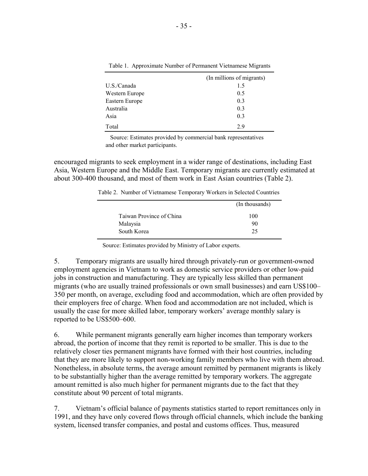|                | (In millions of migrants) |
|----------------|---------------------------|
| U.S./Canada    | 15                        |
| Western Europe | 0.5                       |
| Eastern Europe | 0.3                       |
| Australia      | 0.3                       |
| Asia           | 0.3                       |
| Total          | 29                        |

Table 1. Approximate Number of Permanent Vietnamese Migrants

Source: Estimates provided by commercial bank representatives and other market participants.

encouraged migrants to seek employment in a wider range of destinations, including East Asia, Western Europe and the Middle East. Temporary migrants are currently estimated at about 300-400 thousand, and most of them work in East Asian countries (Table 2).

Table 2. Number of Vietnamese Temporary Workers in Selected Countries

|                          | (In thousands) |
|--------------------------|----------------|
| Taiwan Province of China | 100            |
| Malaysia                 | 90             |
| South Korea              | 25             |
|                          |                |

Source: Estimates provided by Ministry of Labor experts.

5. Temporary migrants are usually hired through privately-run or government-owned employment agencies in Vietnam to work as domestic service providers or other low-paid jobs in construction and manufacturing. They are typically less skilled than permanent migrants (who are usually trained professionals or own small businesses) and earn US\$100– 350 per month, on average, excluding food and accommodation, which are often provided by their employers free of charge. When food and accommodation are not included, which is usually the case for more skilled labor, temporary workers' average monthly salary is reported to be US\$500–600.

6. While permanent migrants generally earn higher incomes than temporary workers abroad, the portion of income that they remit is reported to be smaller. This is due to the relatively closer ties permanent migrants have formed with their host countries, including that they are more likely to support non-working family members who live with them abroad. Nonetheless, in absolute terms, the average amount remitted by permanent migrants is likely to be substantially higher than the average remitted by temporary workers. The aggregate amount remitted is also much higher for permanent migrants due to the fact that they constitute about 90 percent of total migrants.

7. Vietnam's official balance of payments statistics started to report remittances only in 1991, and they have only covered flows through official channels, which include the banking system, licensed transfer companies, and postal and customs offices. Thus, measured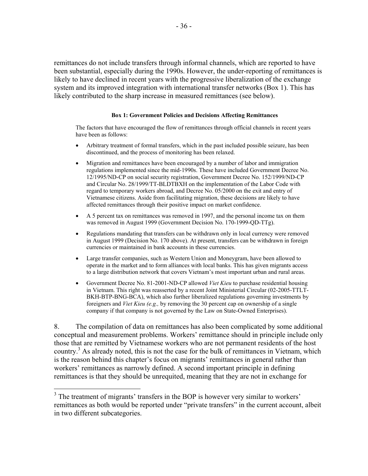remittances do not include transfers through informal channels, which are reported to have been substantial, especially during the 1990s. However, the under-reporting of remittances is likely to have declined in recent years with the progressive liberalization of the exchange system and its improved integration with international transfer networks (Box 1). This has likely contributed to the sharp increase in measured remittances (see below).

#### **Box 1: Government Policies and Decisions Affecting Remittances**

The factors that have encouraged the flow of remittances through official channels in recent years have been as follows:

- Arbitrary treatment of formal transfers, which in the past included possible seizure, has been discontinued, and the process of monitoring has been relaxed.
- Migration and remittances have been encouraged by a number of labor and immigration regulations implemented since the mid-1990s. These have included Government Decree No. 12/1995/ND-CP on social security registration, Government Decree No. 152/1999/ND-CP and Circular No. 28/1999/TT-BLDTBXH on the implementation of the Labor Code with regard to temporary workers abroad, and Decree No. 05/2000 on the exit and entry of Vietnamese citizens. Aside from facilitating migration, these decisions are likely to have affected remittances through their positive impact on market confidence.
- A 5 percent tax on remittances was removed in 1997, and the personal income tax on them was removed in August 1999 (Government Decision No. 170-1999-QD-TTg).
- Regulations mandating that transfers can be withdrawn only in local currency were removed in August 1999 (Decision No. 170 above). At present, transfers can be withdrawn in foreign currencies or maintained in bank accounts in these currencies.
- Large transfer companies, such as Western Union and Moneygram, have been allowed to operate in the market and to form alliances with local banks. This has given migrants access to a large distribution network that covers Vietnam's most important urban and rural areas.
- Government Decree No. 81-2001-ND-CP allowed *Viet Kieu* to purchase residential housing in Vietnam. This right was reasserted by a recent Joint Ministerial Circular (02-2005-TTLT-BKH-BTP-BNG-BCA), which also further liberalized regulations governing investments by foreigners and *Viet Kieu (e.g.,* by removing the 30 percent cap on ownership of a single company if that company is not governed by the Law on State-Owned Enterprises).

8. The compilation of data on remittances has also been complicated by some additional conceptual and measurement problems. Workers' remittance should in principle include only those that are remitted by Vietnamese workers who are not permanent residents of the host country.<sup>3</sup> As already noted, this is not the case for the bulk of remittances in Vietnam, which is the reason behind this chapter's focus on migrants' remittances in general rather than workers' remittances as narrowly defined. A second important principle in defining remittances is that they should be unrequited, meaning that they are not in exchange for

 $\overline{a}$ 

<sup>&</sup>lt;sup>3</sup> The treatment of migrants' transfers in the BOP is however very similar to workers' remittances as both would be reported under "private transfers" in the current account, albeit in two different subcategories.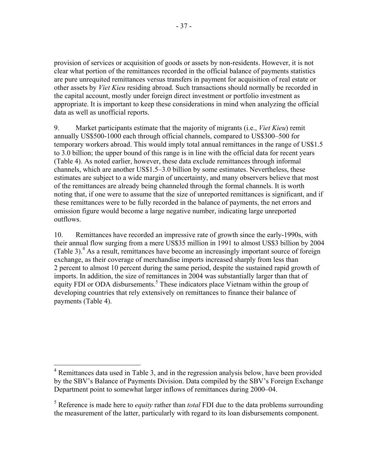provision of services or acquisition of goods or assets by non-residents. However, it is not clear what portion of the remittances recorded in the official balance of payments statistics are pure unrequited remittances versus transfers in payment for acquisition of real estate or other assets by *Viet Kieu* residing abroad. Such transactions should normally be recorded in the capital account, mostly under foreign direct investment or portfolio investment as appropriate. It is important to keep these considerations in mind when analyzing the official data as well as unofficial reports.

9. Market participants estimate that the majority of migrants (i.e., *Viet Kieu*) remit annually US\$500-1000 each through official channels, compared to US\$300–500 for temporary workers abroad. This would imply total annual remittances in the range of US\$1.5 to 3.0 billion; the upper bound of this range is in line with the official data for recent years (Table 4). As noted earlier, however, these data exclude remittances through informal channels, which are another US\$1.5–3.0 billion by some estimates. Nevertheless, these estimates are subject to a wide margin of uncertainty, and many observers believe that most of the remittances are already being channeled through the formal channels. It is worth noting that, if one were to assume that the size of unreported remittances is significant, and if these remittances were to be fully recorded in the balance of payments, the net errors and omission figure would become a large negative number, indicating large unreported outflows.

10. Remittances have recorded an impressive rate of growth since the early-1990s, with their annual flow surging from a mere US\$35 million in 1991 to almost US\$3 billion by 2004 (Table 3).<sup>4</sup> As a result, remittances have become an increasingly important source of foreign exchange, as their coverage of merchandise imports increased sharply from less than 2 percent to almost 10 percent during the same period, despite the sustained rapid growth of imports. In addition, the size of remittances in 2004 was substantially larger than that of equity FDI or ODA disbursements.<sup>5</sup> These indicators place Vietnam within the group of developing countries that rely extensively on remittances to finance their balance of payments (Table 4).

<sup>&</sup>lt;sup>4</sup> Remittances data used in Table 3, and in the regression analysis below, have been provided by the SBV's Balance of Payments Division. Data compiled by the SBV's Foreign Exchange Department point to somewhat larger inflows of remittances during 2000–04.

<sup>5</sup> Reference is made here to *equity* rather than *total* FDI due to the data problems surrounding the measurement of the latter, particularly with regard to its loan disbursements component.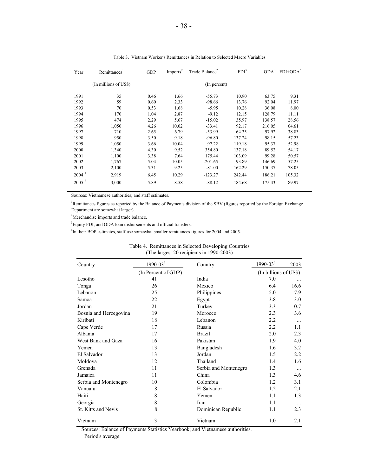| Year              | Remittances <sup>1</sup> | <b>GDP</b> | Imports <sup>2</sup> | Trade Balance <sup>2</sup> | FDI <sup>3</sup> | ODA <sup>3</sup> | $FDI+ODA3$ |  |
|-------------------|--------------------------|------------|----------------------|----------------------------|------------------|------------------|------------|--|
|                   | (In millions of US\$)    |            |                      | (In percent)               |                  |                  |            |  |
| 1991              | 35                       | 0.46       | 1.66                 | $-55.73$                   | 10.90            | 63.75            | 9.31       |  |
| 1992              | 59                       | 0.60       | 2.33                 | $-98.66$                   | 13.76            | 92.04            | 11.97      |  |
| 1993              | 70                       | 0.53       | 1.68                 | $-5.95$                    | 10.28            | 36.08            | 8.00       |  |
| 1994              | 170                      | 1.04       | 2.87                 | $-9.12$                    | 12.15            | 128.79           | 11.11      |  |
| 1995              | 474                      | 2.29       | 5.67                 | $-15.02$                   | 35.97            | 138.57           | 28.56      |  |
| 1996              | 1,050                    | 4.26       | 10.02                | $-33.41$                   | 92.17            | 216.05           | 64.61      |  |
| 1997              | 710                      | 2.65       | 6.79                 | $-53.99$                   | 64.35            | 97.92            | 38.83      |  |
| 1998              | 950                      | 3.50       | 9.18                 | $-96.80$                   | 137.24           | 98.15            | 57.23      |  |
| 1999              | 1,050                    | 3.66       | 10.04                | 97.22                      | 119.18           | 95.37            | 52.98      |  |
| 2000              | 1,340                    | 4.30       | 9.52                 | 354.80                     | 137.18           | 89.52            | 54.17      |  |
| 2001              | 1,100                    | 3.38       | 7.64                 | 175.44                     | 103.09           | 99.28            | 50.57      |  |
| 2002              | 1,767                    | 5.04       | 10.05                | $-201.65$                  | 93.89            | 146.69           | 57.25      |  |
| 2003              | 2,100                    | 5.31       | 9.25                 | $-81.00$                   | 162.29           | 150.37           | 78.05      |  |
| 2004 <sup>4</sup> | 2,919                    | 6.45       | 10.29                | $-123.27$                  | 242.44           | 186.21           | 105.32     |  |
| 2005 <sup>4</sup> | 3,000                    | 5.89       | 8.58                 | $-88.12$                   | 184.68           | 175.43           | 89.97      |  |
|                   |                          |            |                      |                            |                  |                  |            |  |

Table 3. Vietnam Worker's Remittances in Relation to Selected Macro Variables

Sources: Vietnamese authorities; and staff estimates.

<sup>1</sup>Remittances figures as reported by the Balance of Payments division of the SBV (figures reported by the Foreign Exchange Department are somewhat larger).

<sup>2</sup>Merchandise imports and trade balance.

<sup>3</sup>Equity FDI, and ODA loan disbursements and official transfers.

<sup>4</sup>In their BOP estimates, staff use somewhat smaller remittances figures for 2004 and 2005.

| Country                | $1990 - 031$        | Country               | $1990 - 03$ <sup>1</sup> | 2003     |
|------------------------|---------------------|-----------------------|--------------------------|----------|
|                        | (In Percent of GDP) |                       | (In billions of US\$)    |          |
| Lesotho                | 41                  | India                 | 7.0                      |          |
| Tonga                  | 26                  | Mexico                | 6.4                      | 16.6     |
| Lebanon                | 25                  | Philippines           | 5.0                      | 7.9      |
| Samoa                  | 22                  | Egypt                 | 3.8                      | 3.0      |
| Jordan                 | 21                  | Turkey                | 3.3                      | 0.7      |
| Bosnia and Herzegovina | 19                  | Morocco               | 2.3                      | 3.6      |
| Kiribati               | 18                  | Lebanon               | 2.2                      | $\cdots$ |
| Cape Verde             | 17                  | Russia                | 2.2                      | 1.1      |
| Albania                | 17                  | <b>Brazil</b>         | 2.0                      | 2.3      |
| West Bank and Gaza     | 16                  | Pakistan              | 1.9                      | 4.0      |
| Yemen                  | 13                  | Bangladesh            | 1.6                      | 3.2      |
| El Salvador            | 13                  | Jordan                | 1.5                      | 2.2      |
| Moldova                | 12                  | Thailand              | 1.4                      | 1.6      |
| Grenada                | 11                  | Serbia and Montenegro | 1.3                      | $\cdots$ |
| Jamaica                | 11                  | China                 | 1.3                      | 4.6      |
| Serbia and Montenegro  | 10                  | Colombia              | 1.2                      | 3.1      |
| Vanuatu                | 8                   | El Salvador           | 1.2                      | 2.1      |
| Haiti                  | 8                   | Yemen                 | 1.1                      | 1.3      |
| Georgia                | 8                   | Iran                  | 1.1                      |          |
| St. Kitts and Nevis    | 8                   | Dominican Republic    | 1.1                      | 2.3      |
| Vietnam                | 3                   | Vietnam               | 1.0                      | 2.1      |

#### Table 4. Remittances in Selected Developing Countries (The largest 20 recipients in 1990-2003)

Sources: Balance of Payments Statistics Yearbook; and Vietnamese authorities.

<sup>1</sup> Period's average.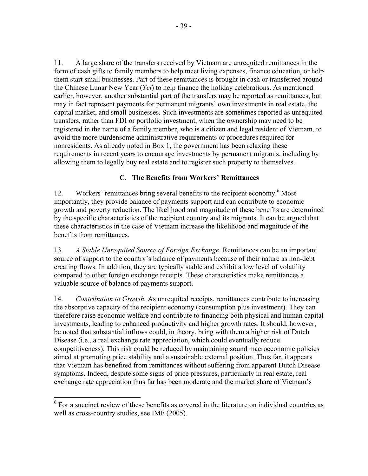11. A large share of the transfers received by Vietnam are unrequited remittances in the form of cash gifts to family members to help meet living expenses, finance education, or help them start small businesses. Part of these remittances is brought in cash or transferred around the Chinese Lunar New Year (*Tet*) to help finance the holiday celebrations. As mentioned earlier, however, another substantial part of the transfers may be reported as remittances, but may in fact represent payments for permanent migrants' own investments in real estate, the capital market, and small businesses. Such investments are sometimes reported as unrequited transfers, rather than FDI or portfolio investment, when the ownership may need to be registered in the name of a family member, who is a citizen and legal resident of Vietnam, to avoid the more burdensome administrative requirements or procedures required for nonresidents. As already noted in Box 1, the government has been relaxing these requirements in recent years to encourage investments by permanent migrants, including by allowing them to legally buy real estate and to register such property to themselves.

# **C. The Benefits from Workers' Remittances**

12. Workers' remittances bring several benefits to the recipient economy.<sup>6</sup> Most importantly, they provide balance of payments support and can contribute to economic growth and poverty reduction. The likelihood and magnitude of these benefits are determined by the specific characteristics of the recipient country and its migrants. It can be argued that these characteristics in the case of Vietnam increase the likelihood and magnitude of the benefits from remittances.

13. *A Stable Unrequited Source of Foreign Exchange*. Remittances can be an important source of support to the country's balance of payments because of their nature as non-debt creating flows. In addition, they are typically stable and exhibit a low level of volatility compared to other foreign exchange receipts. These characteristics make remittances a valuable source of balance of payments support.

14. *Contribution to Growth.* As unrequited receipts, remittances contribute to increasing the absorptive capacity of the recipient economy (consumption plus investment). They can therefore raise economic welfare and contribute to financing both physical and human capital investments, leading to enhanced productivity and higher growth rates. It should, however, be noted that substantial inflows could, in theory, bring with them a higher risk of Dutch Disease (i.e., a real exchange rate appreciation, which could eventually reduce competitiveness). This risk could be reduced by maintaining sound macroeconomic policies aimed at promoting price stability and a sustainable external position. Thus far, it appears that Vietnam has benefited from remittances without suffering from apparent Dutch Disease symptoms. Indeed, despite some signs of price pressures, particularly in real estate, real exchange rate appreciation thus far has been moderate and the market share of Vietnam's

1

<sup>&</sup>lt;sup>6</sup> For a succinct review of these benefits as covered in the literature on individual countries as well as cross-country studies, see IMF (2005).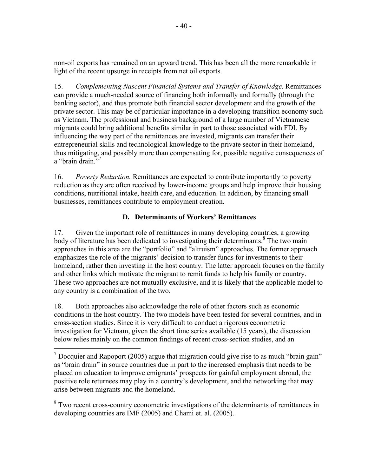non-oil exports has remained on an upward trend. This has been all the more remarkable in light of the recent upsurge in receipts from net oil exports.

15. *Complementing Nascent Financial Systems and Transfer of Knowledge.* Remittances can provide a much-needed source of financing both informally and formally (through the banking sector), and thus promote both financial sector development and the growth of the private sector. This may be of particular importance in a developing-transition economy such as Vietnam. The professional and business background of a large number of Vietnamese migrants could bring additional benefits similar in part to those associated with FDI. By influencing the way part of the remittances are invested, migrants can transfer their entrepreneurial skills and technological knowledge to the private sector in their homeland, thus mitigating, and possibly more than compensating for, possible negative consequences of a "brain drain."<sup>7</sup>

16. *Poverty Reduction.* Remittances are expected to contribute importantly to poverty reduction as they are often received by lower-income groups and help improve their housing conditions, nutritional intake, health care, and education. In addition, by financing small businesses, remittances contribute to employment creation.

# **D. Determinants of Workers' Remittances**

17. Given the important role of remittances in many developing countries, a growing body of literature has been dedicated to investigating their determinants.<sup>8</sup> The two main approaches in this area are the "portfolio" and "altruism" approaches. The former approach emphasizes the role of the migrants' decision to transfer funds for investments to their homeland, rather then investing in the host country. The latter approach focuses on the family and other links which motivate the migrant to remit funds to help his family or country. These two approaches are not mutually exclusive, and it is likely that the applicable model to any country is a combination of the two.

18. Both approaches also acknowledge the role of other factors such as economic conditions in the host country. The two models have been tested for several countries, and in cross-section studies. Since it is very difficult to conduct a rigorous econometric investigation for Vietnam, given the short time series available (15 years), the discussion below relies mainly on the common findings of recent cross-section studies, and an

 $\overline{a}$ 

<sup>8</sup> Two recent cross-country econometric investigations of the determinants of remittances in developing countries are IMF (2005) and Chami et. al. (2005).

<sup>&</sup>lt;sup>7</sup> Docquier and Rapoport (2005) argue that migration could give rise to as much "brain gain" as "brain drain" in source countries due in part to the increased emphasis that needs to be placed on education to improve emigrants' prospects for gainful employment abroad, the positive role returnees may play in a country's development, and the networking that may arise between migrants and the homeland.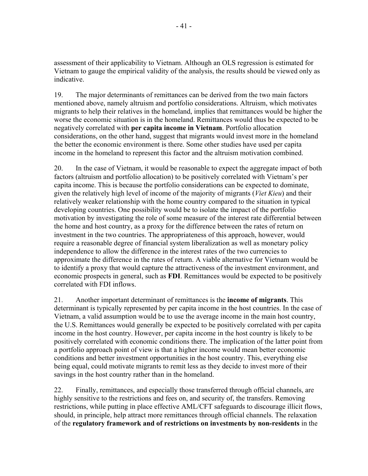assessment of their applicability to Vietnam. Although an OLS regression is estimated for Vietnam to gauge the empirical validity of the analysis, the results should be viewed only as indicative.

19. The major determinants of remittances can be derived from the two main factors mentioned above, namely altruism and portfolio considerations. Altruism, which motivates migrants to help their relatives in the homeland, implies that remittances would be higher the worse the economic situation is in the homeland. Remittances would thus be expected to be negatively correlated with **per capita income in Vietnam**. Portfolio allocation considerations, on the other hand, suggest that migrants would invest more in the homeland the better the economic environment is there. Some other studies have used per capita income in the homeland to represent this factor and the altruism motivation combined.

20. In the case of Vietnam, it would be reasonable to expect the aggregate impact of both factors (altruism and portfolio allocation) to be positively correlated with Vietnam's per capita income. This is because the portfolio considerations can be expected to dominate, given the relatively high level of income of the majority of migrants (*Viet Kieu*) and their relatively weaker relationship with the home country compared to the situation in typical developing countries. One possibility would be to isolate the impact of the portfolio motivation by investigating the role of some measure of the interest rate differential between the home and host country, as a proxy for the difference between the rates of return on investment in the two countries. The appropriateness of this approach, however, would require a reasonable degree of financial system liberalization as well as monetary policy independence to allow the difference in the interest rates of the two currencies to approximate the difference in the rates of return. A viable alternative for Vietnam would be to identify a proxy that would capture the attractiveness of the investment environment, and economic prospects in general, such as **FDI**. Remittances would be expected to be positively correlated with FDI inflows.

21. Another important determinant of remittances is the **income of migrants**. This determinant is typically represented by per capita income in the host countries. In the case of Vietnam, a valid assumption would be to use the average income in the main host country, the U.S. Remittances would generally be expected to be positively correlated with per capita income in the host country. However, per capita income in the host country is likely to be positively correlated with economic conditions there. The implication of the latter point from a portfolio approach point of view is that a higher income would mean better economic conditions and better investment opportunities in the host country. This, everything else being equal, could motivate migrants to remit less as they decide to invest more of their savings in the host country rather than in the homeland.

22. Finally, remittances, and especially those transferred through official channels, are highly sensitive to the restrictions and fees on, and security of, the transfers. Removing restrictions, while putting in place effective AML/CFT safeguards to discourage illicit flows, should, in principle, help attract more remittances through official channels. The relaxation of the **regulatory framework and of restrictions on investments by non-residents** in the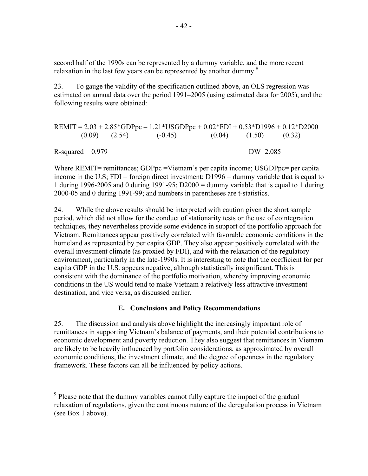second half of the 1990s can be represented by a dummy variable, and the more recent relaxation in the last few years can be represented by another dummy.<sup>9</sup>

23. To gauge the validity of the specification outlined above, an OLS regression was estimated on annual data over the period 1991–2005 (using estimated data for 2005), and the following results were obtained:

$$
REMIT = 2.03 + 2.85 * GDPpc - 1.21 * USGDPpc + 0.02 * FDI + 0.53 * D1996 + 0.12 * D2000
$$
  
(0.09) (2.54) (-0.45) (0.04) (1.50) (0.32)  
R-squared = 0.979 DW=2.085

Where REMIT= remittances; GDPpc = Vietnam's per capita income; USGDPpc= per capita income in the U.S; FDI = foreign direct investment; D1996 = dummy variable that is equal to 1 during 1996-2005 and 0 during 1991-95; D2000 = dummy variable that is equal to 1 during 2000-05 and 0 during 1991-99; and numbers in parentheses are t-statistics.

24. While the above results should be interpreted with caution given the short sample period, which did not allow for the conduct of stationarity tests or the use of cointegration techniques, they nevertheless provide some evidence in support of the portfolio approach for Vietnam. Remittances appear positively correlated with favorable economic conditions in the homeland as represented by per capita GDP. They also appear positively correlated with the overall investment climate (as proxied by FDI), and with the relaxation of the regulatory environment, particularly in the late-1990s. It is interesting to note that the coefficient for per capita GDP in the U.S. appears negative, although statistically insignificant. This is consistent with the dominance of the portfolio motivation, whereby improving economic conditions in the US would tend to make Vietnam a relatively less attractive investment destination, and vice versa, as discussed earlier.

# **E. Conclusions and Policy Recommendations**

25. The discussion and analysis above highlight the increasingly important role of remittances in supporting Vietnam's balance of payments, and their potential contributions to economic development and poverty reduction. They also suggest that remittances in Vietnam are likely to be heavily influenced by portfolio considerations, as approximated by overall economic conditions, the investment climate, and the degree of openness in the regulatory framework. These factors can all be influenced by policy actions.

<sup>&</sup>lt;sup>9</sup> Please note that the dummy variables cannot fully capture the impact of the gradual relaxation of regulations, given the continuous nature of the deregulation process in Vietnam (see Box 1 above).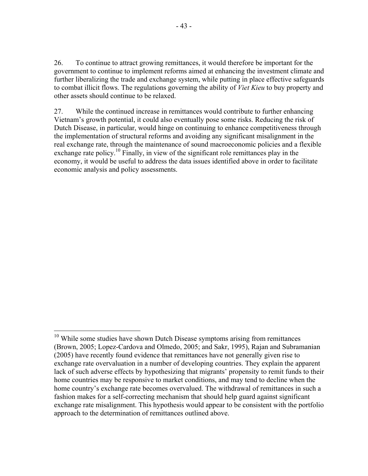26. To continue to attract growing remittances, it would therefore be important for the government to continue to implement reforms aimed at enhancing the investment climate and further liberalizing the trade and exchange system, while putting in place effective safeguards to combat illicit flows. The regulations governing the ability of *Viet Kieu* to buy property and other assets should continue to be relaxed.

27. While the continued increase in remittances would contribute to further enhancing Vietnam's growth potential, it could also eventually pose some risks. Reducing the risk of Dutch Disease, in particular, would hinge on continuing to enhance competitiveness through the implementation of structural reforms and avoiding any significant misalignment in the real exchange rate, through the maintenance of sound macroeconomic policies and a flexible exchange rate policy.<sup>10</sup> Finally, in view of the significant role remittances play in the economy, it would be useful to address the data issues identified above in order to facilitate economic analysis and policy assessments.

<u>.</u>

 $10$  While some studies have shown Dutch Disease symptoms arising from remittances (Brown, 2005; Lopez-Cardova and Olmedo, 2005; and Sakr, 1995), Rajan and Subramanian (2005) have recently found evidence that remittances have not generally given rise to exchange rate overvaluation in a number of developing countries. They explain the apparent lack of such adverse effects by hypothesizing that migrants' propensity to remit funds to their home countries may be responsive to market conditions, and may tend to decline when the home country's exchange rate becomes overvalued. The withdrawal of remittances in such a fashion makes for a self-correcting mechanism that should help guard against significant exchange rate misalignment. This hypothesis would appear to be consistent with the portfolio approach to the determination of remittances outlined above.